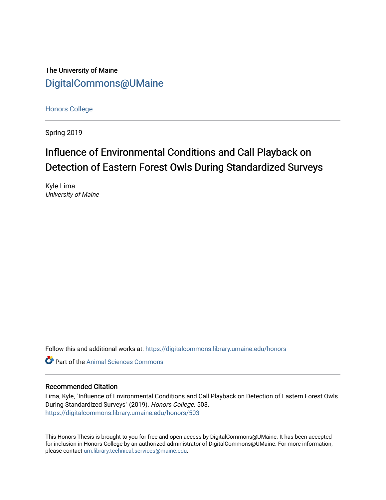The University of Maine [DigitalCommons@UMaine](https://digitalcommons.library.umaine.edu/)

[Honors College](https://digitalcommons.library.umaine.edu/honors)

Spring 2019

# Influence of Environmental Conditions and Call Playback on Detection of Eastern Forest Owls During Standardized Surveys

Kyle Lima University of Maine

Follow this and additional works at: [https://digitalcommons.library.umaine.edu/honors](https://digitalcommons.library.umaine.edu/honors?utm_source=digitalcommons.library.umaine.edu%2Fhonors%2F503&utm_medium=PDF&utm_campaign=PDFCoverPages) 

**C** Part of the Animal Sciences Commons

#### Recommended Citation

Lima, Kyle, "Influence of Environmental Conditions and Call Playback on Detection of Eastern Forest Owls During Standardized Surveys" (2019). Honors College. 503. [https://digitalcommons.library.umaine.edu/honors/503](https://digitalcommons.library.umaine.edu/honors/503?utm_source=digitalcommons.library.umaine.edu%2Fhonors%2F503&utm_medium=PDF&utm_campaign=PDFCoverPages) 

This Honors Thesis is brought to you for free and open access by DigitalCommons@UMaine. It has been accepted for inclusion in Honors College by an authorized administrator of DigitalCommons@UMaine. For more information, please contact [um.library.technical.services@maine.edu.](mailto:um.library.technical.services@maine.edu)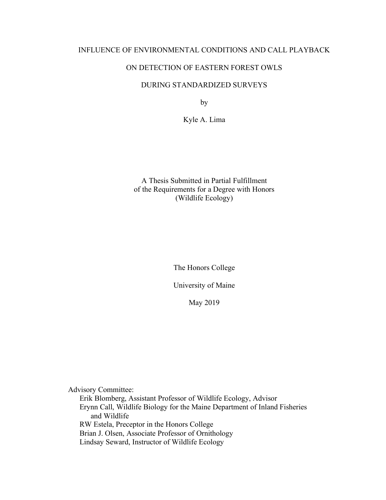### INFLUENCE OF ENVIRONMENTAL CONDITIONS AND CALL PLAYBACK

# ON DETECTION OF EASTERN FOREST OWLS

### DURING STANDARDIZED SURVEYS

by

Kyle A. Lima

A Thesis Submitted in Partial Fulfillment of the Requirements for a Degree with Honors (Wildlife Ecology)

The Honors College

University of Maine

May 2019

Advisory Committee: Erik Blomberg, Assistant Professor of Wildlife Ecology, Advisor Erynn Call, Wildlife Biology for the Maine Department of Inland Fisheries and Wildlife RW Estela, Preceptor in the Honors College Brian J. Olsen, Associate Professor of Ornithology Lindsay Seward, Instructor of Wildlife Ecology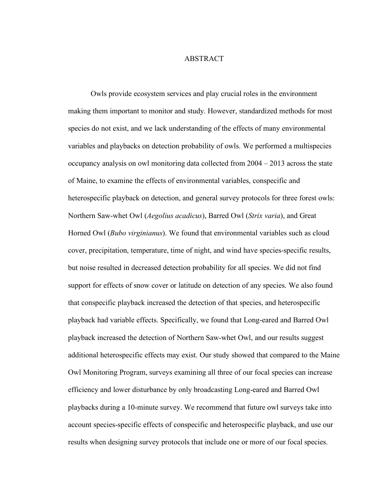#### ABSTRACT

Owls provide ecosystem services and play crucial roles in the environment making them important to monitor and study. However, standardized methods for most species do not exist, and we lack understanding of the effects of many environmental variables and playbacks on detection probability of owls. We performed a multispecies occupancy analysis on owl monitoring data collected from 2004 – 2013 across the state of Maine, to examine the effects of environmental variables, conspecific and heterospecific playback on detection, and general survey protocols for three forest owls: Northern Saw-whet Owl (*Aegolius acadicus*), Barred Owl (*Strix varia*), and Great Horned Owl (*Bubo virginianus*). We found that environmental variables such as cloud cover, precipitation, temperature, time of night, and wind have species-specific results, but noise resulted in decreased detection probability for all species. We did not find support for effects of snow cover or latitude on detection of any species. We also found that conspecific playback increased the detection of that species, and heterospecific playback had variable effects. Specifically, we found that Long-eared and Barred Owl playback increased the detection of Northern Saw-whet Owl, and our results suggest additional heterospecific effects may exist. Our study showed that compared to the Maine Owl Monitoring Program, surveys examining all three of our focal species can increase efficiency and lower disturbance by only broadcasting Long-eared and Barred Owl playbacks during a 10-minute survey. We recommend that future owl surveys take into account species-specific effects of conspecific and heterospecific playback, and use our results when designing survey protocols that include one or more of our focal species.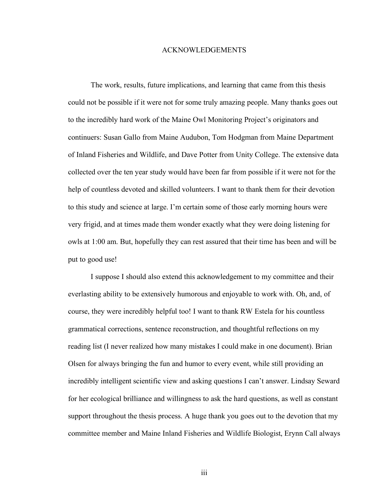#### ACKNOWLEDGEMENTS

The work, results, future implications, and learning that came from this thesis could not be possible if it were not for some truly amazing people. Many thanks goes out to the incredibly hard work of the Maine Owl Monitoring Project's originators and continuers: Susan Gallo from Maine Audubon, Tom Hodgman from Maine Department of Inland Fisheries and Wildlife, and Dave Potter from Unity College. The extensive data collected over the ten year study would have been far from possible if it were not for the help of countless devoted and skilled volunteers. I want to thank them for their devotion to this study and science at large. I'm certain some of those early morning hours were very frigid, and at times made them wonder exactly what they were doing listening for owls at 1:00 am. But, hopefully they can rest assured that their time has been and will be put to good use!

I suppose I should also extend this acknowledgement to my committee and their everlasting ability to be extensively humorous and enjoyable to work with. Oh, and, of course, they were incredibly helpful too! I want to thank RW Estela for his countless grammatical corrections, sentence reconstruction, and thoughtful reflections on my reading list (I never realized how many mistakes I could make in one document). Brian Olsen for always bringing the fun and humor to every event, while still providing an incredibly intelligent scientific view and asking questions I can't answer. Lindsay Seward for her ecological brilliance and willingness to ask the hard questions, as well as constant support throughout the thesis process. A huge thank you goes out to the devotion that my committee member and Maine Inland Fisheries and Wildlife Biologist, Erynn Call always

iii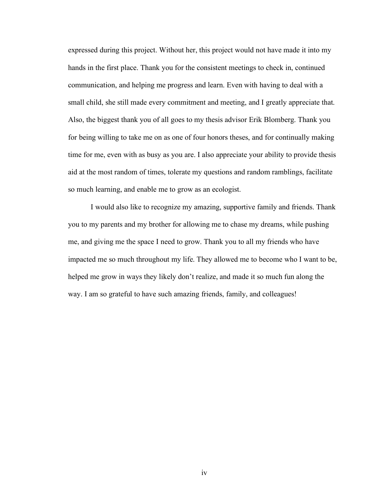expressed during this project. Without her, this project would not have made it into my hands in the first place. Thank you for the consistent meetings to check in, continued communication, and helping me progress and learn. Even with having to deal with a small child, she still made every commitment and meeting, and I greatly appreciate that. Also, the biggest thank you of all goes to my thesis advisor Erik Blomberg. Thank you for being willing to take me on as one of four honors theses, and for continually making time for me, even with as busy as you are. I also appreciate your ability to provide thesis aid at the most random of times, tolerate my questions and random ramblings, facilitate so much learning, and enable me to grow as an ecologist.

I would also like to recognize my amazing, supportive family and friends. Thank you to my parents and my brother for allowing me to chase my dreams, while pushing me, and giving me the space I need to grow. Thank you to all my friends who have impacted me so much throughout my life. They allowed me to become who I want to be, helped me grow in ways they likely don't realize, and made it so much fun along the way. I am so grateful to have such amazing friends, family, and colleagues!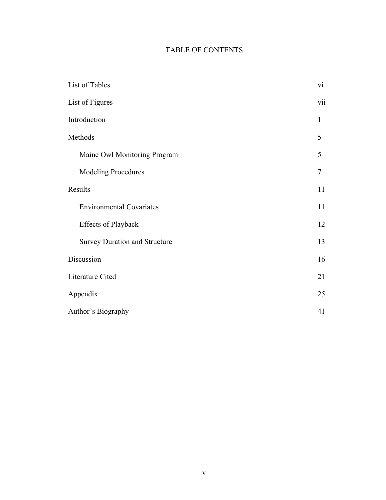# TABLE OF CONTENTS

| List of Tables                       | vi             |
|--------------------------------------|----------------|
| List of Figures                      | vii            |
| Introduction                         | $\mathbf{1}$   |
| Methods                              | 5              |
| Maine Owl Monitoring Program         | 5              |
| <b>Modeling Procedures</b>           | $\overline{7}$ |
| Results                              | 11             |
| <b>Environmental Covariates</b>      | 11             |
| <b>Effects of Playback</b>           | 12             |
| <b>Survey Duration and Structure</b> | 13             |
| Discussion                           | 16             |
| Literature Cited                     | 21             |
| Appendix                             | 25             |
| Author's Biography                   | 41             |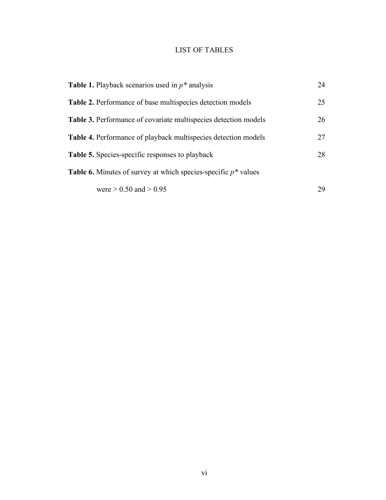# LIST OF TABLES

| <b>Table 1.</b> Playback scenarios used in $p^*$ analysis                | 24 |
|--------------------------------------------------------------------------|----|
| <b>Table 2.</b> Performance of base multispecies detection models        | 25 |
| <b>Table 3.</b> Performance of covariate multispecies detection models   | 26 |
| <b>Table 4.</b> Performance of playback multispecies detection models    | 27 |
| <b>Table 5.</b> Species-specific responses to playback                   | 28 |
| <b>Table 6.</b> Minutes of survey at which species-specific $p^*$ values |    |
| were $> 0.50$ and $> 0.95$                                               | 29 |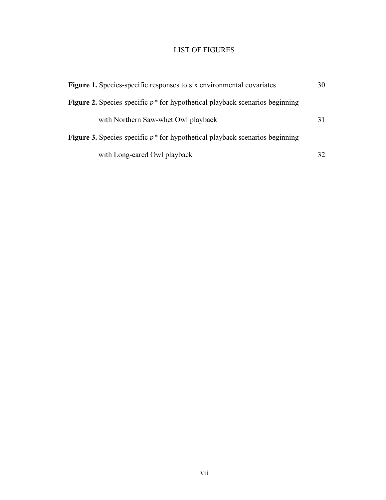# LIST OF FIGURES

| Figure 1. Species-specific responses to six environmental covariates                  | 30 |
|---------------------------------------------------------------------------------------|----|
| <b>Figure 2.</b> Species-specific $p^*$ for hypothetical playback scenarios beginning |    |
| with Northern Saw-whet Owl playback                                                   |    |
| <b>Figure 3.</b> Species-specific $p^*$ for hypothetical playback scenarios beginning |    |
| with Long-eared Owl playback                                                          | 32 |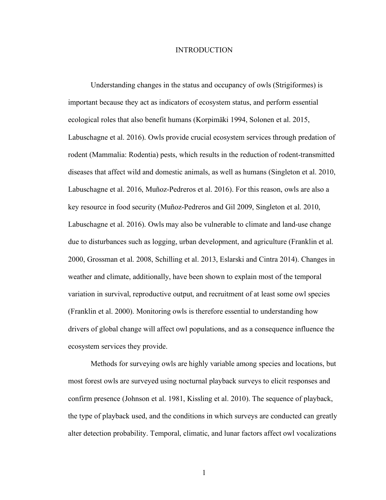#### INTRODUCTION

Understanding changes in the status and occupancy of owls (Strigiformes) is important because they act as indicators of ecosystem status, and perform essential ecological roles that also benefit humans (Korpimäki 1994, Solonen et al. 2015, Labuschagne et al. 2016). Owls provide crucial ecosystem services through predation of rodent (Mammalia: Rodentia) pests, which results in the reduction of rodent-transmitted diseases that affect wild and domestic animals, as well as humans (Singleton et al. 2010, Labuschagne et al. 2016, Muñoz-Pedreros et al. 2016). For this reason, owls are also a key resource in food security (Muñoz-Pedreros and Gil 2009, Singleton et al. 2010, Labuschagne et al. 2016). Owls may also be vulnerable to climate and land-use change due to disturbances such as logging, urban development, and agriculture (Franklin et al. 2000, Grossman et al. 2008, Schilling et al. 2013, Eslarski and Cintra 2014). Changes in weather and climate, additionally, have been shown to explain most of the temporal variation in survival, reproductive output, and recruitment of at least some owl species (Franklin et al. 2000). Monitoring owls is therefore essential to understanding how drivers of global change will affect owl populations, and as a consequence influence the ecosystem services they provide.

Methods for surveying owls are highly variable among species and locations, but most forest owls are surveyed using nocturnal playback surveys to elicit responses and confirm presence (Johnson et al. 1981, Kissling et al. 2010). The sequence of playback, the type of playback used, and the conditions in which surveys are conducted can greatly alter detection probability. Temporal, climatic, and lunar factors affect owl vocalizations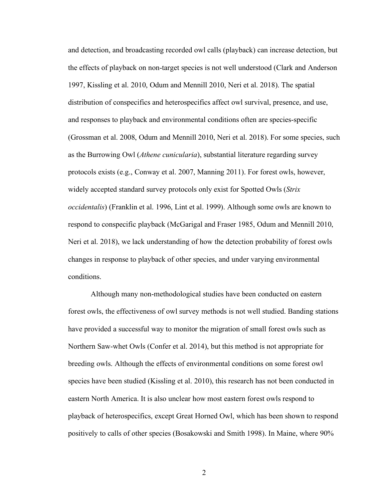and detection, and broadcasting recorded owl calls (playback) can increase detection, but the effects of playback on non-target species is not well understood (Clark and Anderson 1997, Kissling et al. 2010, Odum and Mennill 2010, Neri et al. 2018). The spatial distribution of conspecifics and heterospecifics affect owl survival, presence, and use, and responses to playback and environmental conditions often are species-specific (Grossman et al. 2008, Odum and Mennill 2010, Neri et al. 2018). For some species, such as the Burrowing Owl (*Athene cunicularia*), substantial literature regarding survey protocols exists (e.g., Conway et al. 2007, Manning 2011). For forest owls, however, widely accepted standard survey protocols only exist for Spotted Owls (*Strix occidentalis*) (Franklin et al. 1996, Lint et al. 1999). Although some owls are known to respond to conspecific playback (McGarigal and Fraser 1985, Odum and Mennill 2010, Neri et al. 2018), we lack understanding of how the detection probability of forest owls changes in response to playback of other species, and under varying environmental conditions.

Although many non-methodological studies have been conducted on eastern forest owls, the effectiveness of owl survey methods is not well studied. Banding stations have provided a successful way to monitor the migration of small forest owls such as Northern Saw-whet Owls (Confer et al. 2014), but this method is not appropriate for breeding owls. Although the effects of environmental conditions on some forest owl species have been studied (Kissling et al. 2010), this research has not been conducted in eastern North America. It is also unclear how most eastern forest owls respond to playback of heterospecifics, except Great Horned Owl, which has been shown to respond positively to calls of other species (Bosakowski and Smith 1998). In Maine, where 90%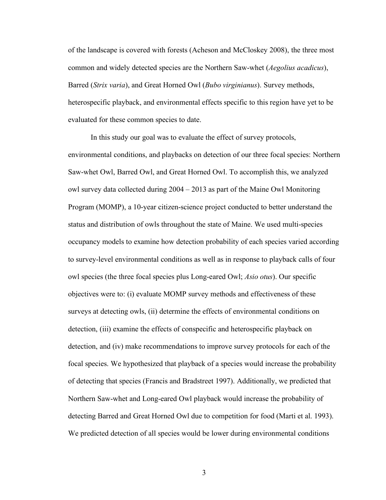of the landscape is covered with forests (Acheson and McCloskey 2008), the three most common and widely detected species are the Northern Saw-whet (*Aegolius acadicus*), Barred (*Strix varia*), and Great Horned Owl (*Bubo virginianus*). Survey methods, heterospecific playback, and environmental effects specific to this region have yet to be evaluated for these common species to date.

In this study our goal was to evaluate the effect of survey protocols, environmental conditions, and playbacks on detection of our three focal species: Northern Saw-whet Owl, Barred Owl, and Great Horned Owl. To accomplish this, we analyzed owl survey data collected during 2004 – 2013 as part of the Maine Owl Monitoring Program (MOMP), a 10-year citizen-science project conducted to better understand the status and distribution of owls throughout the state of Maine. We used multi-species occupancy models to examine how detection probability of each species varied according to survey-level environmental conditions as well as in response to playback calls of four owl species (the three focal species plus Long-eared Owl; *Asio otus*). Our specific objectives were to: (i) evaluate MOMP survey methods and effectiveness of these surveys at detecting owls, (ii) determine the effects of environmental conditions on detection, (iii) examine the effects of conspecific and heterospecific playback on detection, and (iv) make recommendations to improve survey protocols for each of the focal species. We hypothesized that playback of a species would increase the probability of detecting that species (Francis and Bradstreet 1997). Additionally, we predicted that Northern Saw-whet and Long-eared Owl playback would increase the probability of detecting Barred and Great Horned Owl due to competition for food (Marti et al. 1993). We predicted detection of all species would be lower during environmental conditions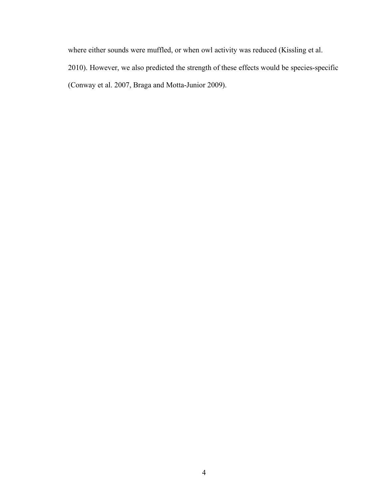where either sounds were muffled, or when owl activity was reduced (Kissling et al. 2010). However, we also predicted the strength of these effects would be species-specific (Conway et al. 2007, Braga and Motta-Junior 2009).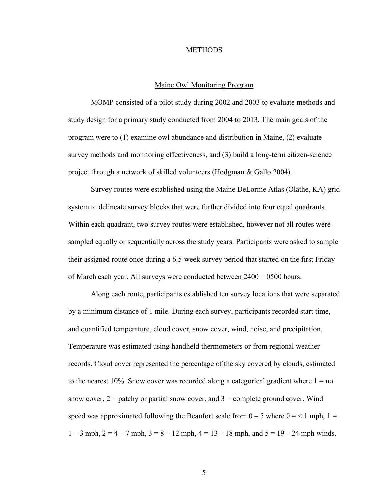#### **METHODS**

#### Maine Owl Monitoring Program

MOMP consisted of a pilot study during 2002 and 2003 to evaluate methods and study design for a primary study conducted from 2004 to 2013. The main goals of the program were to (1) examine owl abundance and distribution in Maine, (2) evaluate survey methods and monitoring effectiveness, and (3) build a long-term citizen-science project through a network of skilled volunteers (Hodgman & Gallo 2004).

Survey routes were established using the Maine DeLorme Atlas (Olathe, KA) grid system to delineate survey blocks that were further divided into four equal quadrants. Within each quadrant, two survey routes were established, however not all routes were sampled equally or sequentially across the study years. Participants were asked to sample their assigned route once during a 6.5-week survey period that started on the first Friday of March each year. All surveys were conducted between 2400 – 0500 hours.

Along each route, participants established ten survey locations that were separated by a minimum distance of 1 mile. During each survey, participants recorded start time, and quantified temperature, cloud cover, snow cover, wind, noise, and precipitation. Temperature was estimated using handheld thermometers or from regional weather records. Cloud cover represented the percentage of the sky covered by clouds, estimated to the nearest  $10\%$ . Snow cover was recorded along a categorical gradient where  $1 =$  no snow cover,  $2 =$  patchy or partial snow cover, and  $3 =$  complete ground cover. Wind speed was approximated following the Beaufort scale from  $0 - 5$  where  $0 = 1$  mph,  $1 = 1$  $1 - 3$  mph,  $2 = 4 - 7$  mph,  $3 = 8 - 12$  mph,  $4 = 13 - 18$  mph, and  $5 = 19 - 24$  mph winds.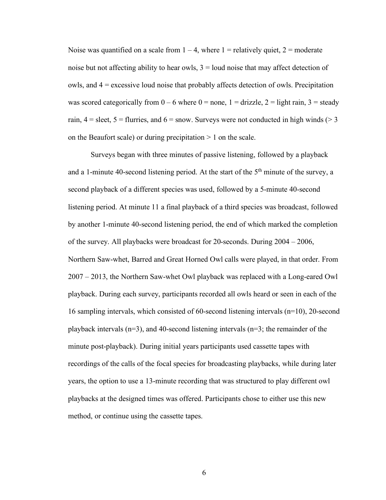Noise was quantified on a scale from  $1 - 4$ , where  $1 =$  relatively quiet,  $2 =$  moderate noise but not affecting ability to hear owls,  $3 =$  loud noise that may affect detection of owls, and 4 = excessive loud noise that probably affects detection of owls. Precipitation was scored categorically from  $0 - 6$  where  $0 =$  none,  $1 =$  drizzle,  $2 =$  light rain,  $3 =$  steady rain,  $4 =$  sleet,  $5 =$  flurries, and  $6 =$  snow. Surveys were not conducted in high winds ( $> 3$ ) on the Beaufort scale) or during precipitation  $> 1$  on the scale.

Surveys began with three minutes of passive listening, followed by a playback and a 1-minute 40-second listening period. At the start of the  $5<sup>th</sup>$  minute of the survey, a second playback of a different species was used, followed by a 5-minute 40-second listening period. At minute 11 a final playback of a third species was broadcast, followed by another 1-minute 40-second listening period, the end of which marked the completion of the survey. All playbacks were broadcast for 20-seconds. During 2004 – 2006, Northern Saw-whet, Barred and Great Horned Owl calls were played, in that order. From 2007 – 2013, the Northern Saw-whet Owl playback was replaced with a Long-eared Owl playback. During each survey, participants recorded all owls heard or seen in each of the 16 sampling intervals, which consisted of 60-second listening intervals (n=10), 20-second playback intervals  $(n=3)$ , and 40-second listening intervals  $(n=3)$ ; the remainder of the minute post-playback). During initial years participants used cassette tapes with recordings of the calls of the focal species for broadcasting playbacks, while during later years, the option to use a 13-minute recording that was structured to play different owl playbacks at the designed times was offered. Participants chose to either use this new method, or continue using the cassette tapes.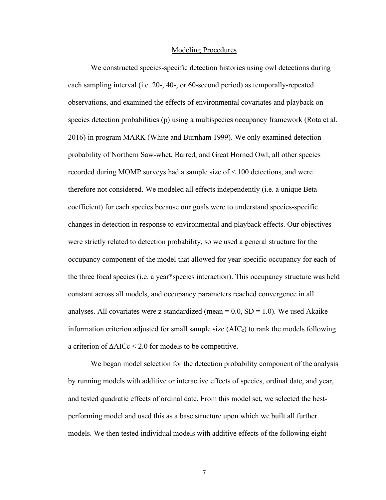#### Modeling Procedures

We constructed species-specific detection histories using owl detections during each sampling interval (i.e. 20-, 40-, or 60-second period) as temporally-repeated observations, and examined the effects of environmental covariates and playback on species detection probabilities (p) using a multispecies occupancy framework (Rota et al. 2016) in program MARK (White and Burnham 1999). We only examined detection probability of Northern Saw-whet, Barred, and Great Horned Owl; all other species recorded during MOMP surveys had a sample size of < 100 detections, and were therefore not considered. We modeled all effects independently (i.e. a unique Beta coefficient) for each species because our goals were to understand species-specific changes in detection in response to environmental and playback effects. Our objectives were strictly related to detection probability, so we used a general structure for the occupancy component of the model that allowed for year-specific occupancy for each of the three focal species (i.e. a year\*species interaction). This occupancy structure was held constant across all models, and occupancy parameters reached convergence in all analyses. All covariates were z-standardized (mean  $= 0.0$ , SD  $= 1.0$ ). We used Akaike information criterion adjusted for small sample size  $(AIC<sub>c</sub>)$  to rank the models following a criterion of **∆**AICc < 2.0 for models to be competitive.

We began model selection for the detection probability component of the analysis by running models with additive or interactive effects of species, ordinal date, and year, and tested quadratic effects of ordinal date. From this model set, we selected the bestperforming model and used this as a base structure upon which we built all further models. We then tested individual models with additive effects of the following eight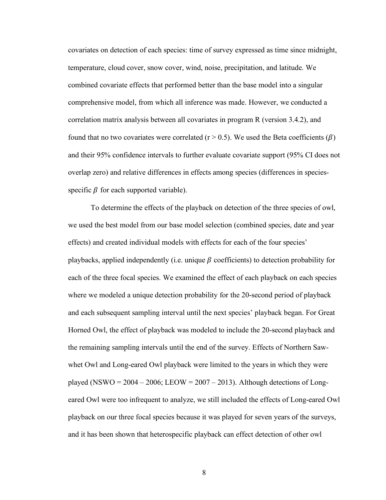covariates on detection of each species: time of survey expressed as time since midnight, temperature, cloud cover, snow cover, wind, noise, precipitation, and latitude. We combined covariate effects that performed better than the base model into a singular comprehensive model, from which all inference was made. However, we conducted a correlation matrix analysis between all covariates in program R (version 3.4.2), and found that no two covariates were correlated ( $r > 0.5$ ). We used the Beta coefficients ( $\beta$ ) and their 95% confidence intervals to further evaluate covariate support (95% CI does not overlap zero) and relative differences in effects among species (differences in speciesspecific  $\beta$  for each supported variable).

To determine the effects of the playback on detection of the three species of owl, we used the best model from our base model selection (combined species, date and year effects) and created individual models with effects for each of the four species' playbacks, applied independently (i.e. unique  $\beta$  coefficients) to detection probability for each of the three focal species. We examined the effect of each playback on each species where we modeled a unique detection probability for the 20-second period of playback and each subsequent sampling interval until the next species' playback began. For Great Horned Owl, the effect of playback was modeled to include the 20-second playback and the remaining sampling intervals until the end of the survey. Effects of Northern Sawwhet Owl and Long-eared Owl playback were limited to the years in which they were played (NSWO =  $2004 - 2006$ ; LEOW =  $2007 - 2013$ ). Although detections of Longeared Owl were too infrequent to analyze, we still included the effects of Long-eared Owl playback on our three focal species because it was played for seven years of the surveys, and it has been shown that heterospecific playback can effect detection of other owl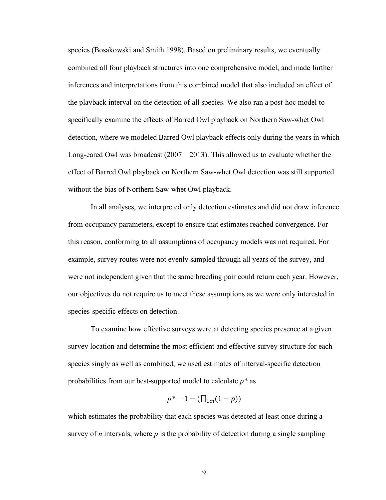species (Bosakowski and Smith 1998). Based on preliminary results, we eventually combined all four playback structures into one comprehensive model, and made further inferences and interpretations from this combined model that also included an effect of the playback interval on the detection of all species. We also ran a post-hoc model to specifically examine the effects of Barred Owl playback on Northern Saw-whet Owl detection, where we modeled Barred Owl playback effects only during the years in which Long-eared Owl was broadcast  $(2007 - 2013)$ . This allowed us to evaluate whether the effect of Barred Owl playback on Northern Saw-whet Owl detection was still supported without the bias of Northern Saw-whet Owl playback.

In all analyses, we interpreted only detection estimates and did not draw inference from occupancy parameters, except to ensure that estimates reached convergence. For this reason, conforming to all assumptions of occupancy models was not required. For example, survey routes were not evenly sampled through all years of the survey, and were not independent given that the same breeding pair could return each year. However, our objectives do not require us to meet these assumptions as we were only interested in species-specific effects on detection.

To examine how effective surveys were at detecting species presence at a given survey location and determine the most efficient and effective survey structure for each species singly as well as combined, we used estimates of interval-specific detection probabilities from our best-supported model to calculate *p\** as

$$
p^* = 1 - (\prod_{1:n} (1-p))
$$

which estimates the probability that each species was detected at least once during a survey of *n* intervals, where *p* is the probability of detection during a single sampling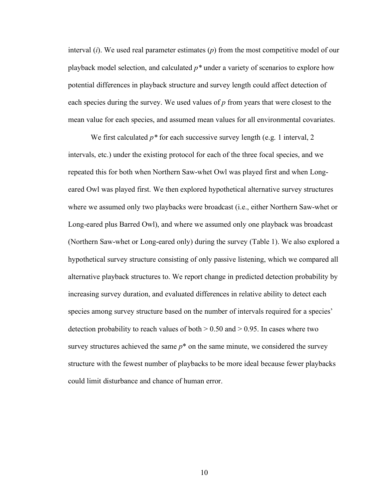interval (*i*). We used real parameter estimates (*p*) from the most competitive model of our playback model selection, and calculated *p\** under a variety of scenarios to explore how potential differences in playback structure and survey length could affect detection of each species during the survey. We used values of *p* from years that were closest to the mean value for each species, and assumed mean values for all environmental covariates.

We first calculated *p\** for each successive survey length (e.g. 1 interval, 2 intervals, etc.) under the existing protocol for each of the three focal species, and we repeated this for both when Northern Saw-whet Owl was played first and when Longeared Owl was played first. We then explored hypothetical alternative survey structures where we assumed only two playbacks were broadcast (i.e., either Northern Saw-whet or Long-eared plus Barred Owl), and where we assumed only one playback was broadcast (Northern Saw-whet or Long-eared only) during the survey (Table 1). We also explored a hypothetical survey structure consisting of only passive listening, which we compared all alternative playback structures to. We report change in predicted detection probability by increasing survey duration, and evaluated differences in relative ability to detect each species among survey structure based on the number of intervals required for a species' detection probability to reach values of both  $> 0.50$  and  $> 0.95$ . In cases where two survey structures achieved the same  $p^*$  on the same minute, we considered the survey structure with the fewest number of playbacks to be more ideal because fewer playbacks could limit disturbance and chance of human error.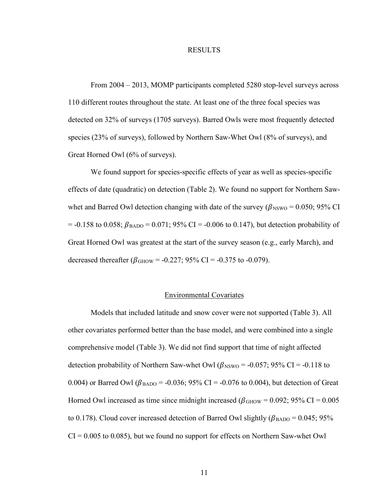#### RESULTS

From 2004 – 2013, MOMP participants completed 5280 stop-level surveys across 110 different routes throughout the state. At least one of the three focal species was detected on 32% of surveys (1705 surveys). Barred Owls were most frequently detected species (23% of surveys), followed by Northern Saw-Whet Owl (8% of surveys), and Great Horned Owl (6% of surveys).

We found support for species-specific effects of year as well as species-specific effects of date (quadratic) on detection (Table 2). We found no support for Northern Sawwhet and Barred Owl detection changing with date of the survey ( $\beta_{\rm NSWO}$  = 0.050; 95% CI  $=$  -0.158 to 0.058;  $\beta_{\text{BAD}}$  = 0.071; 95% CI = -0.006 to 0.147), but detection probability of Great Horned Owl was greatest at the start of the survey season (e.g., early March), and decreased thereafter ( $\beta_{\text{GHOW}}$  = -0.227; 95% CI = -0.375 to -0.079).

#### Environmental Covariates

Models that included latitude and snow cover were not supported (Table 3). All other covariates performed better than the base model, and were combined into a single comprehensive model (Table 3). We did not find support that time of night affected detection probability of Northern Saw-whet Owl ( $\beta_{\rm NSWO}$  = -0.057; 95% CI = -0.118 to 0.004) or Barred Owl ( $\beta_{\text{BAD}}$  = -0.036; 95% CI = -0.076 to 0.004), but detection of Great Horned Owl increased as time since midnight increased ( $\beta_{\text{GHOW}} = 0.092$ ; 95% CI = 0.005 to 0.178). Cloud cover increased detection of Barred Owl slightly ( $\beta_{\text{BAD}}$  = 0.045; 95%  $CI = 0.005$  to 0.085), but we found no support for effects on Northern Saw-whet Owl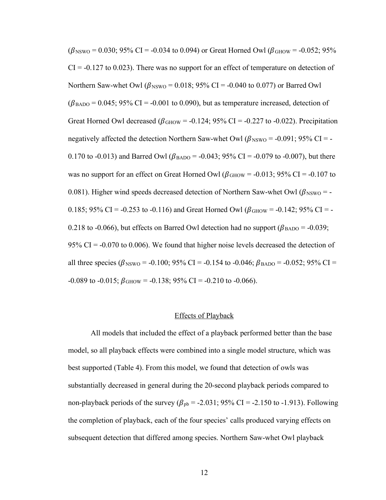$(\beta_{\text{NSWO}} = 0.030; 95\% \text{ CI} = -0.034 \text{ to } 0.094)$  or Great Horned Owl ( $\beta_{\text{GHOW}} = -0.052; 95\%$ )  $CI = -0.127$  to 0.023). There was no support for an effect of temperature on detection of Northern Saw-whet Owl ( $\beta_{\rm NSWO}$  = 0.018; 95% CI = -0.040 to 0.077) or Barred Owl  $(\beta_{\text{BAD}} = 0.045; 95\% \text{ CI} = -0.001 \text{ to } 0.090)$ , but as temperature increased, detection of Great Horned Owl decreased ( $\beta$ <sub>GHOW</sub> = -0.124; 95% CI = -0.227 to -0.022). Precipitation negatively affected the detection Northern Saw-whet Owl ( $\beta_{\rm NSWO}$  = -0.091; 95% CI = -0.170 to -0.013) and Barred Owl ( $\beta_{\text{BAD}}$  = -0.043; 95% CI = -0.079 to -0.007), but there was no support for an effect on Great Horned Owl ( $\beta_{\text{GHOW}}$  = -0.013; 95% CI = -0.107 to 0.081). Higher wind speeds decreased detection of Northern Saw-whet Owl ( $\beta_{\rm NSWO}$  = -0.185; 95% CI = -0.253 to -0.116) and Great Horned Owl ( $\beta_{\text{GHOW}}$  = -0.142; 95% CI = -0.218 to -0.066), but effects on Barred Owl detection had no support ( $\beta_{\text{BAD}}$  = -0.039; 95% CI =  $-0.070$  to 0.006). We found that higher noise levels decreased the detection of all three species ( $\beta_{\text{NSWO}}$  = -0.100; 95% CI = -0.154 to -0.046;  $\beta_{\text{BAD}}$  = -0.052; 95% CI =  $-0.089$  to  $-0.015$ ;  $\beta_{\text{GHOW}} = -0.138$ ; 95% CI =  $-0.210$  to  $-0.066$ ).

### Effects of Playback

All models that included the effect of a playback performed better than the base model, so all playback effects were combined into a single model structure, which was best supported (Table 4). From this model, we found that detection of owls was substantially decreased in general during the 20-second playback periods compared to non-playback periods of the survey ( $\beta_{\text{pb}}$  = -2.031; 95% CI = -2.150 to -1.913). Following the completion of playback, each of the four species' calls produced varying effects on subsequent detection that differed among species. Northern Saw-whet Owl playback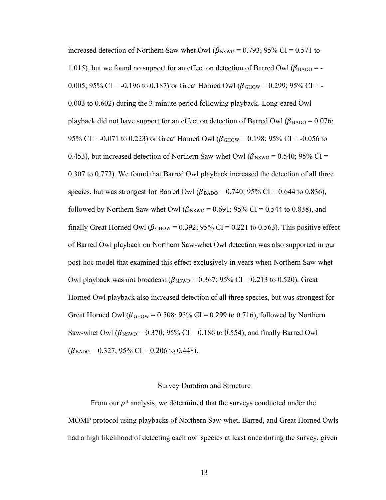increased detection of Northern Saw-whet Owl ( $\beta_{\text{NSWO}}$  = 0.793; 95% CI = 0.571 to 1.015), but we found no support for an effect on detection of Barred Owl  $(\beta_{\text{BAD}} = -1)$ 0.005; 95% CI = -0.196 to 0.187) or Great Horned Owl ( $\beta_{\text{GHOW}}$  = 0.299; 95% CI = -0.003 to 0.602) during the 3-minute period following playback. Long-eared Owl playback did not have support for an effect on detection of Barred Owl ( $\beta_{\text{BAD}}$  = 0.076; 95% CI = -0.071 to 0.223) or Great Horned Owl ( $\beta_{\text{GHOW}}$  = 0.198; 95% CI = -0.056 to 0.453), but increased detection of Northern Saw-whet Owl ( $\beta_{\text{NSWO}} = 0.540$ ; 95% CI = 0.307 to 0.773). We found that Barred Owl playback increased the detection of all three species, but was strongest for Barred Owl ( $\beta_{\text{BAD}}$  = 0.740; 95% CI = 0.644 to 0.836), followed by Northern Saw-whet Owl ( $\beta_{\text{NSWO}}$  = 0.691; 95% CI = 0.544 to 0.838), and finally Great Horned Owl ( $\beta_{\text{GHOW}} = 0.392$ ; 95% CI = 0.221 to 0.563). This positive effect of Barred Owl playback on Northern Saw-whet Owl detection was also supported in our post-hoc model that examined this effect exclusively in years when Northern Saw-whet Owl playback was not broadcast ( $\beta_{\text{NSWO}} = 0.367$ ; 95% CI = 0.213 to 0.520). Great Horned Owl playback also increased detection of all three species, but was strongest for Great Horned Owl ( $\beta$ GHOW = 0.508; 95% CI = 0.299 to 0.716), followed by Northern Saw-whet Owl ( $\beta_{\rm NSWO}$  = 0.370; 95% CI = 0.186 to 0.554), and finally Barred Owl  $(\beta_{\text{BAD}} = 0.327; 95\% \text{ CI} = 0.206 \text{ to } 0.448).$ 

#### Survey Duration and Structure

From our *p\** analysis, we determined that the surveys conducted under the MOMP protocol using playbacks of Northern Saw-whet, Barred, and Great Horned Owls had a high likelihood of detecting each owl species at least once during the survey, given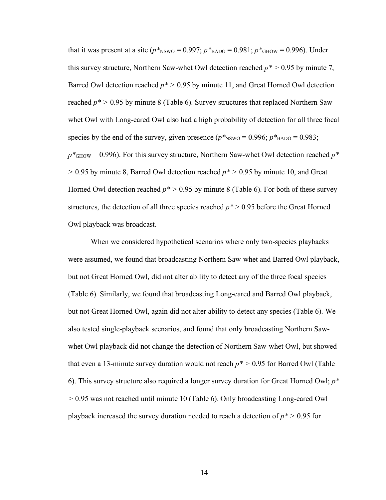that it was present at a site ( $p*_{\text{NSWO}} = 0.997$ ;  $p*_{\text{BAD}} = 0.981$ ;  $p*_{\text{GIOW}} = 0.996$ ). Under this survey structure, Northern Saw-whet Owl detection reached  $p^*$  > 0.95 by minute 7, Barred Owl detection reached  $p^*$  > 0.95 by minute 11, and Great Horned Owl detection reached  $p^*$  > 0.95 by minute 8 (Table 6). Survey structures that replaced Northern Sawwhet Owl with Long-eared Owl also had a high probability of detection for all three focal species by the end of the survey, given presence ( $p*_{\text{NSWO}} = 0.996$ ;  $p*_{\text{BAD}} = 0.983$ ;  $p^*$ <sub>GHOW</sub> = 0.996). For this survey structure, Northern Saw-whet Owl detection reached  $p^*$ *>* 0.95 by minute 8, Barred Owl detection reached *p\* >* 0.95 by minute 10, and Great Horned Owl detection reached  $p^*$  > 0.95 by minute 8 (Table 6). For both of these survey structures, the detection of all three species reached *p\** > 0.95 before the Great Horned Owl playback was broadcast.

When we considered hypothetical scenarios where only two-species playbacks were assumed, we found that broadcasting Northern Saw-whet and Barred Owl playback, but not Great Horned Owl, did not alter ability to detect any of the three focal species (Table 6). Similarly, we found that broadcasting Long-eared and Barred Owl playback, but not Great Horned Owl, again did not alter ability to detect any species (Table 6). We also tested single-playback scenarios, and found that only broadcasting Northern Sawwhet Owl playback did not change the detection of Northern Saw-whet Owl, but showed that even a 13-minute survey duration would not reach *p\* >* 0.95 for Barred Owl (Table 6). This survey structure also required a longer survey duration for Great Horned Owl; *p\* >* 0.95 was not reached until minute 10 (Table 6). Only broadcasting Long-eared Owl playback increased the survey duration needed to reach a detection of *p\* >* 0.95 for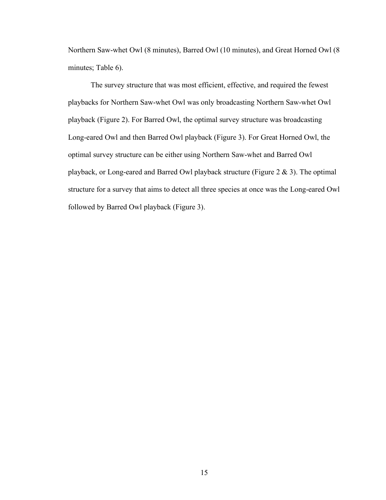Northern Saw-whet Owl (8 minutes), Barred Owl (10 minutes), and Great Horned Owl (8 minutes; Table 6).

The survey structure that was most efficient, effective, and required the fewest playbacks for Northern Saw-whet Owl was only broadcasting Northern Saw-whet Owl playback (Figure 2). For Barred Owl, the optimal survey structure was broadcasting Long-eared Owl and then Barred Owl playback (Figure 3). For Great Horned Owl, the optimal survey structure can be either using Northern Saw-whet and Barred Owl playback, or Long-eared and Barred Owl playback structure (Figure 2 & 3). The optimal structure for a survey that aims to detect all three species at once was the Long-eared Owl followed by Barred Owl playback (Figure 3).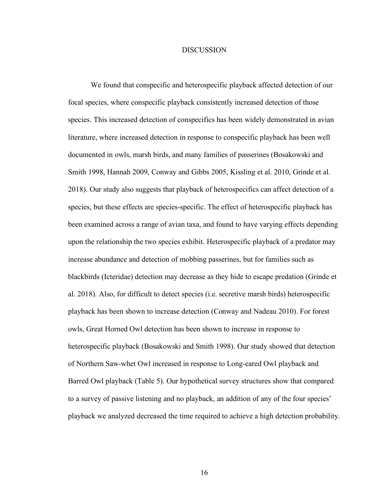#### DISCUSSION

We found that conspecific and heterospecific playback affected detection of our focal species, where conspecific playback consistently increased detection of those species. This increased detection of conspecifics has been widely demonstrated in avian literature, where increased detection in response to conspecific playback has been well documented in owls, marsh birds, and many families of passerines (Bosakowski and Smith 1998, Hannah 2009, Conway and Gibbs 2005, Kissling et al. 2010, Grinde et al. 2018). Our study also suggests that playback of heterospecifics can affect detection of a species, but these effects are species-specific. The effect of heterospecific playback has been examined across a range of avian taxa, and found to have varying effects depending upon the relationship the two species exhibit. Heterospecific playback of a predator may increase abundance and detection of mobbing passerines, but for families such as blackbirds (Icteridae) detection may decrease as they hide to escape predation (Grinde et al. 2018). Also, for difficult to detect species (i.e. secretive marsh birds) heterospecific playback has been shown to increase detection (Conway and Nadeau 2010). For forest owls, Great Horned Owl detection has been shown to increase in response to heterospecific playback (Bosakowski and Smith 1998). Our study showed that detection of Northern Saw-whet Owl increased in response to Long-eared Owl playback and Barred Owl playback (Table 5). Our hypothetical survey structures show that compared to a survey of passive listening and no playback, an addition of any of the four species' playback we analyzed decreased the time required to achieve a high detection probability.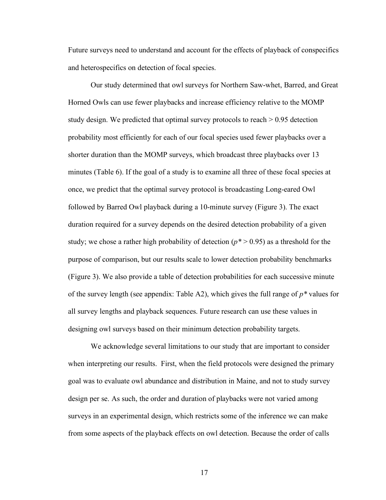Future surveys need to understand and account for the effects of playback of conspecifics and heterospecifics on detection of focal species.

Our study determined that owl surveys for Northern Saw-whet, Barred, and Great Horned Owls can use fewer playbacks and increase efficiency relative to the MOMP study design. We predicted that optimal survey protocols to reach > 0.95 detection probability most efficiently for each of our focal species used fewer playbacks over a shorter duration than the MOMP surveys, which broadcast three playbacks over 13 minutes (Table 6). If the goal of a study is to examine all three of these focal species at once, we predict that the optimal survey protocol is broadcasting Long-eared Owl followed by Barred Owl playback during a 10-minute survey (Figure 3). The exact duration required for a survey depends on the desired detection probability of a given study; we chose a rather high probability of detection  $(p^* > 0.95)$  as a threshold for the purpose of comparison, but our results scale to lower detection probability benchmarks (Figure 3). We also provide a table of detection probabilities for each successive minute of the survey length (see appendix: Table A2), which gives the full range of *p\** values for all survey lengths and playback sequences. Future research can use these values in designing owl surveys based on their minimum detection probability targets.

We acknowledge several limitations to our study that are important to consider when interpreting our results. First, when the field protocols were designed the primary goal was to evaluate owl abundance and distribution in Maine, and not to study survey design per se. As such, the order and duration of playbacks were not varied among surveys in an experimental design, which restricts some of the inference we can make from some aspects of the playback effects on owl detection. Because the order of calls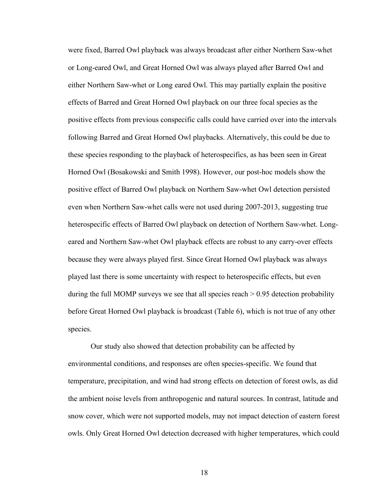were fixed, Barred Owl playback was always broadcast after either Northern Saw-whet or Long-eared Owl, and Great Horned Owl was always played after Barred Owl and either Northern Saw-whet or Long eared Owl. This may partially explain the positive effects of Barred and Great Horned Owl playback on our three focal species as the positive effects from previous conspecific calls could have carried over into the intervals following Barred and Great Horned Owl playbacks. Alternatively, this could be due to these species responding to the playback of heterospecifics, as has been seen in Great Horned Owl (Bosakowski and Smith 1998). However, our post-hoc models show the positive effect of Barred Owl playback on Northern Saw-whet Owl detection persisted even when Northern Saw-whet calls were not used during 2007-2013, suggesting true heterospecific effects of Barred Owl playback on detection of Northern Saw-whet. Longeared and Northern Saw-whet Owl playback effects are robust to any carry-over effects because they were always played first. Since Great Horned Owl playback was always played last there is some uncertainty with respect to heterospecific effects, but even during the full MOMP surveys we see that all species reach  $> 0.95$  detection probability before Great Horned Owl playback is broadcast (Table 6), which is not true of any other species.

Our study also showed that detection probability can be affected by environmental conditions, and responses are often species-specific. We found that temperature, precipitation, and wind had strong effects on detection of forest owls, as did the ambient noise levels from anthropogenic and natural sources. In contrast, latitude and snow cover, which were not supported models, may not impact detection of eastern forest owls. Only Great Horned Owl detection decreased with higher temperatures, which could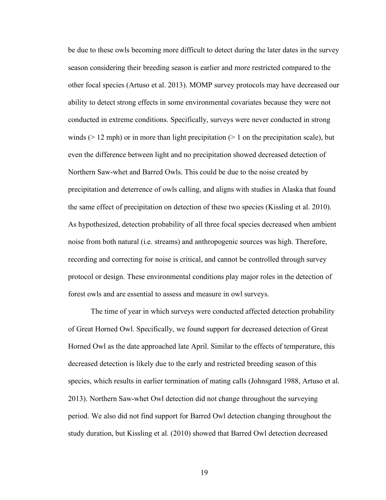be due to these owls becoming more difficult to detect during the later dates in the survey season considering their breeding season is earlier and more restricted compared to the other focal species (Artuso et al. 2013). MOMP survey protocols may have decreased our ability to detect strong effects in some environmental covariates because they were not conducted in extreme conditions. Specifically, surveys were never conducted in strong winds ( $> 12$  mph) or in more than light precipitation ( $> 1$  on the precipitation scale), but even the difference between light and no precipitation showed decreased detection of Northern Saw-whet and Barred Owls. This could be due to the noise created by precipitation and deterrence of owls calling, and aligns with studies in Alaska that found the same effect of precipitation on detection of these two species (Kissling et al. 2010). As hypothesized, detection probability of all three focal species decreased when ambient noise from both natural (i.e. streams) and anthropogenic sources was high. Therefore, recording and correcting for noise is critical, and cannot be controlled through survey protocol or design. These environmental conditions play major roles in the detection of forest owls and are essential to assess and measure in owl surveys.

The time of year in which surveys were conducted affected detection probability of Great Horned Owl. Specifically, we found support for decreased detection of Great Horned Owl as the date approached late April. Similar to the effects of temperature, this decreased detection is likely due to the early and restricted breeding season of this species, which results in earlier termination of mating calls (Johnsgard 1988, Artuso et al. 2013). Northern Saw-whet Owl detection did not change throughout the surveying period. We also did not find support for Barred Owl detection changing throughout the study duration, but Kissling et al. (2010) showed that Barred Owl detection decreased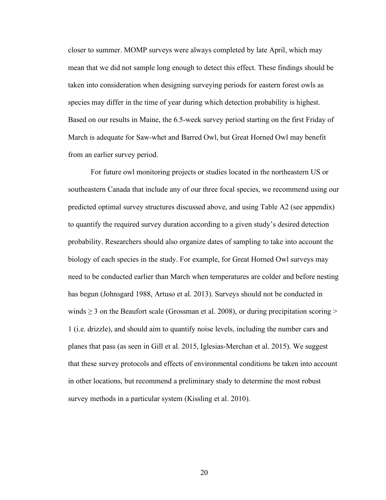closer to summer. MOMP surveys were always completed by late April, which may mean that we did not sample long enough to detect this effect. These findings should be taken into consideration when designing surveying periods for eastern forest owls as species may differ in the time of year during which detection probability is highest. Based on our results in Maine, the 6.5-week survey period starting on the first Friday of March is adequate for Saw-whet and Barred Owl, but Great Horned Owl may benefit from an earlier survey period.

For future owl monitoring projects or studies located in the northeastern US or southeastern Canada that include any of our three focal species, we recommend using our predicted optimal survey structures discussed above, and using Table A2 (see appendix) to quantify the required survey duration according to a given study's desired detection probability. Researchers should also organize dates of sampling to take into account the biology of each species in the study. For example, for Great Horned Owl surveys may need to be conducted earlier than March when temperatures are colder and before nesting has begun (Johnsgard 1988, Artuso et al. 2013). Surveys should not be conducted in winds  $\geq$  3 on the Beaufort scale (Grossman et al. 2008), or during precipitation scoring  $\geq$ 1 (i.e. drizzle), and should aim to quantify noise levels, including the number cars and planes that pass (as seen in Gill et al. 2015, Iglesias-Merchan et al. 2015). We suggest that these survey protocols and effects of environmental conditions be taken into account in other locations, but recommend a preliminary study to determine the most robust survey methods in a particular system (Kissling et al. 2010).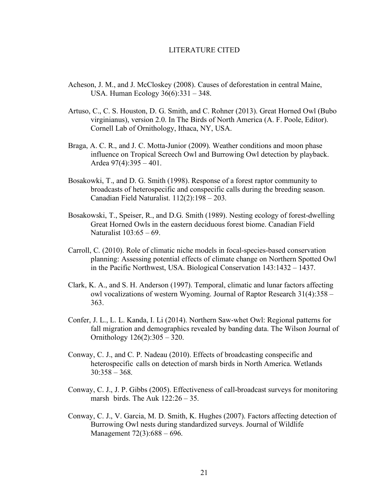#### LITERATURE CITED

- Acheson, J. M., and J. McCloskey (2008). Causes of deforestation in central Maine, USA. Human Ecology 36(6):331 – 348.
- Artuso, C., C. S. Houston, D. G. Smith, and C. Rohner (2013). Great Horned Owl (Bubo virginianus), version 2.0. In The Birds of North America (A. F. Poole, Editor). Cornell Lab of Ornithology, Ithaca, NY, USA.
- Braga, A. C. R., and J. C. Motta-Junior (2009). Weather conditions and moon phase influence on Tropical Screech Owl and Burrowing Owl detection by playback. Ardea 97(4):395 – 401.
- Bosakowki, T., and D. G. Smith (1998). Response of a forest raptor community to broadcasts of heterospecific and conspecific calls during the breeding season. Canadian Field Naturalist. 112(2):198 – 203.
- Bosakowski, T., Speiser, R., and D.G. Smith (1989). Nesting ecology of forest-dwelling Great Horned Owls in the eastern deciduous forest biome. Canadian Field Naturalist 103:65 – 69.
- Carroll, C. (2010). Role of climatic niche models in focal-species-based conservation planning: Assessing potential effects of climate change on Northern Spotted Owl in the Pacific Northwest, USA. Biological Conservation 143:1432 – 1437.
- Clark, K. A., and S. H. Anderson (1997). Temporal, climatic and lunar factors affecting owl vocalizations of western Wyoming. Journal of Raptor Research 31(4):358 – 363.
- Confer, J. L., L. L. Kanda, I. Li (2014). Northern Saw-whet Owl: Regional patterns for fall migration and demographics revealed by banding data. The Wilson Journal of Ornithology 126(2):305 – 320.
- Conway, C. J., and C. P. Nadeau (2010). Effects of broadcasting conspecific and heterospecific calls on detection of marsh birds in North America. Wetlands  $30:358 - 368.$
- Conway, C. J., J. P. Gibbs (2005). Effectiveness of call-broadcast surveys for monitoring marsh birds. The Auk 122:26 – 35.
- Conway, C. J., V. Garcia, M. D. Smith, K. Hughes (2007). Factors affecting detection of Burrowing Owl nests during standardized surveys. Journal of Wildlife Management 72(3):688 – 696.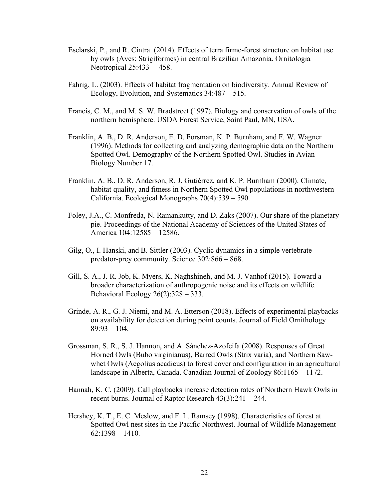- Esclarski, P., and R. Cintra. (2014). Effects of terra firme-forest structure on habitat use by owls (Aves: Strigiformes) in central Brazilian Amazonia. Ornitologia Neotropical 25:433 – 458.
- Fahrig, L. (2003). Effects of habitat fragmentation on biodiversity. Annual Review of Ecology, Evolution, and Systematics 34:487 – 515.
- Francis, C. M., and M. S. W. Bradstreet (1997). Biology and conservation of owls of the northern hemisphere. USDA Forest Service, Saint Paul, MN, USA.
- Franklin, A. B., D. R. Anderson, E. D. Forsman, K. P. Burnham, and F. W. Wagner (1996). Methods for collecting and analyzing demographic data on the Northern Spotted Owl. Demography of the Northern Spotted Owl. Studies in Avian Biology Number 17.
- Franklin, A. B., D. R. Anderson, R. J. Gutiérrez, and K. P. Burnham (2000). Climate, habitat quality, and fitness in Northern Spotted Owl populations in northwestern California. Ecological Monographs 70(4):539 – 590.
- Foley, J.A., C. Monfreda, N. Ramankutty, and D. Zaks (2007). Our share of the planetary pie. Proceedings of the National Academy of Sciences of the United States of America 104:12585 – 12586.
- Gilg, O., I. Hanski, and B. Sittler (2003). Cyclic dynamics in a simple vertebrate predator-prey community. Science 302:866 – 868.
- Gill, S. A., J. R. Job, K. Myers, K. Naghshineh, and M. J. Vanhof (2015). Toward a broader characterization of anthropogenic noise and its effects on wildlife. Behavioral Ecology  $26(2)$ :  $328 - 333$ .
- Grinde, A. R., G. J. Niemi, and M. A. Etterson (2018). Effects of experimental playbacks on availability for detection during point counts. Journal of Field Ornithology  $89:93 - 104$ .
- Grossman, S. R., S. J. Hannon, and A. Sánchez-Azofeifa (2008). Responses of Great Horned Owls (Bubo virginianus), Barred Owls (Strix varia), and Northern Sawwhet Owls (Aegolius acadicus) to forest cover and configuration in an agricultural landscape in Alberta, Canada. Canadian Journal of Zoology 86:1165 – 1172.
- Hannah, K. C. (2009). Call playbacks increase detection rates of Northern Hawk Owls in recent burns. Journal of Raptor Research 43(3):241 – 244.
- Hershey, K. T., E. C. Meslow, and F. L. Ramsey (1998). Characteristics of forest at Spotted Owl nest sites in the Pacific Northwest. Journal of Wildlife Management  $62:1398 - 1410$ .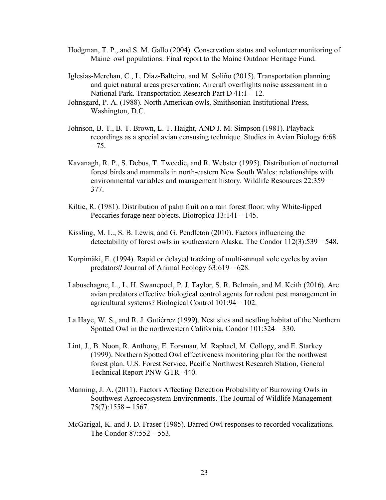- Hodgman, T. P., and S. M. Gallo (2004). Conservation status and volunteer monitoring of Maine owl populations: Final report to the Maine Outdoor Heritage Fund.
- Iglesias-Merchan, C., L. Diaz-Balteiro, and M. Soliño (2015). Transportation planning and quiet natural areas preservation: Aircraft overflights noise assessment in a National Park. Transportation Research Part D 41:1 – 12.
- Johnsgard, P. A. (1988). North American owls. Smithsonian Institutional Press, Washington, D.C.
- Johnson, B. T., B. T. Brown, L. T. Haight, AND J. M. Simpson (1981). Playback recordings as a special avian censusing technique. Studies in Avian Biology 6:68  $-75.$
- Kavanagh, R. P., S. Debus, T. Tweedie, and R. Webster (1995). Distribution of nocturnal forest birds and mammals in north-eastern New South Wales: relationships with environmental variables and management history. Wildlife Resources 22:359 – 377.
- Kiltie, R. (1981). Distribution of palm fruit on a rain forest floor: why White-lipped Peccaries forage near objects. Biotropica 13:141 – 145.
- Kissling, M. L., S. B. Lewis, and G. Pendleton (2010). Factors influencing the detectability of forest owls in southeastern Alaska. The Condor 112(3):539 – 548.
- Korpimäki, E. (1994). Rapid or delayed tracking of multi-annual vole cycles by avian predators? Journal of Animal Ecology 63:619 – 628.
- Labuschagne, L., L. H. Swanepoel, P. J. Taylor, S. R. Belmain, and M. Keith (2016). Are avian predators effective biological control agents for rodent pest management in agricultural systems? Biological Control 101:94 – 102.
- La Haye, W. S., and R. J. Gutiérrez (1999). Nest sites and nestling habitat of the Northern Spotted Owl in the northwestern California. Condor 101:324 – 330.
- Lint, J., B. Noon, R. Anthony, E. Forsman, M. Raphael, M. Collopy, and E. Starkey (1999). Northern Spotted Owl effectiveness monitoring plan for the northwest forest plan. U.S. Forest Service, Pacific Northwest Research Station, General Technical Report PNW-GTR- 440.
- Manning, J. A. (2011). Factors Affecting Detection Probability of Burrowing Owls in Southwest Agroecosystem Environments. The Journal of Wildlife Management  $75(7):1558 - 1567.$
- McGarigal, K. and J. D. Fraser (1985). Barred Owl responses to recorded vocalizations. The Condor 87:552 – 553.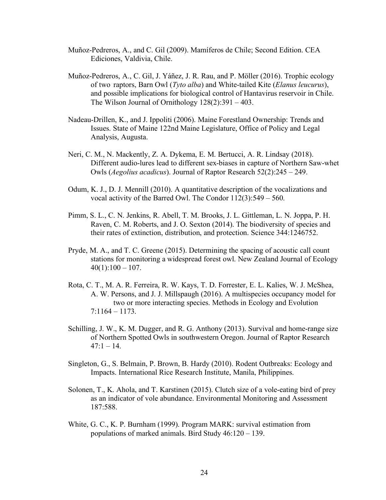- Muñoz-Pedreros, A., and C. Gil (2009). Mamíferos de Chile; Second Edition. CEA Ediciones, Valdivia, Chile.
- Muñoz-Pedreros, A., C. Gil, J. Yáñez, J. R. Rau, and P. Möller (2016). Trophic ecology of two raptors, Barn Owl (*Tyto alba*) and White-tailed Kite (*Elanus leucurus*), and possible implications for biological control of Hantavirus reservoir in Chile. The Wilson Journal of Ornithology 128(2):391 – 403.
- Nadeau-Drillen, K., and J. Ippoliti (2006). Maine Forestland Ownership: Trends and Issues. State of Maine 122nd Maine Legislature, Office of Policy and Legal Analysis, Augusta.
- Neri, C. M., N. Mackently, Z. A. Dykema, E. M. Bertucci, A. R. Lindsay (2018). Different audio-lures lead to different sex-biases in capture of Northern Saw-whet Owls (*Aegolius acadicus*). Journal of Raptor Research 52(2):245 – 249.
- Odum, K. J., D. J. Mennill (2010). A quantitative description of the vocalizations and vocal activity of the Barred Owl. The Condor 112(3):549 – 560.
- Pimm, S. L., C. N. Jenkins, R. Abell, T. M. Brooks, J. L. Gittleman, L. N. Joppa, P. H. Raven, C. M. Roberts, and J. O. Sexton (2014). The biodiversity of species and their rates of extinction, distribution, and protection. Science 344:1246752.
- Pryde, M. A., and T. C. Greene (2015). Determining the spacing of acoustic call count stations for monitoring a widespread forest owl. New Zealand Journal of Ecology  $40(1):100 - 107.$
- Rota, C. T., M. A. R. Ferreira, R. W. Kays, T. D. Forrester, E. L. Kalies, W. J. McShea, A. W. Persons, and J. J. Millspaugh (2016). A multispecies occupancy model for two or more interacting species. Methods in Ecology and Evolution 7:1164 – 1173.
- Schilling, J. W., K. M. Dugger, and R. G. Anthony (2013). Survival and home-range size of Northern Spotted Owls in southwestern Oregon. Journal of Raptor Research  $47:1 - 14.$
- Singleton, G., S. Belmain, P. Brown, B. Hardy (2010). Rodent Outbreaks: Ecology and Impacts. International Rice Research Institute, Manila, Philippines.
- Solonen, T., K. Ahola, and T. Karstinen (2015). Clutch size of a vole-eating bird of prey as an indicator of vole abundance. Environmental Monitoring and Assessment 187:588.
- White, G. C., K. P. Burnham (1999). Program MARK: survival estimation from populations of marked animals. Bird Study 46:120 – 139.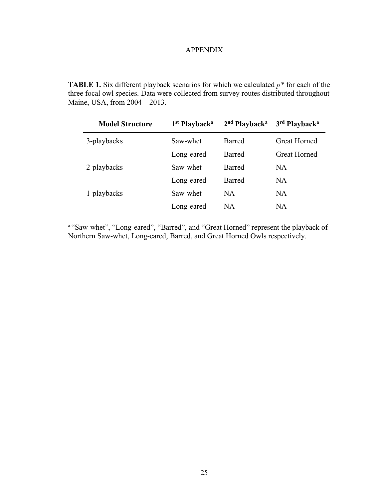# APPENDIX

**TABLE 1.** Six different playback scenarios for which we calculated  $p^*$  for each of the three focal owl species. Data were collected from survey routes distributed throughout Maine, USA, from 2004 – 2013.

| <b>Model Structure</b> | 1 <sup>st</sup> Playback <sup>a</sup> | 2 <sup>nd</sup> Playback <sup>a</sup> | 3rd Playback <sup>a</sup> |
|------------------------|---------------------------------------|---------------------------------------|---------------------------|
| 3-playbacks            | Saw-whet                              | Barred                                | <b>Great Horned</b>       |
|                        | Long-eared                            | Barred                                | <b>Great Horned</b>       |
| 2-playbacks            | Saw-whet                              | Barred                                | <b>NA</b>                 |
|                        | Long-eared                            | Barred                                | NA                        |
| 1-playbacks            | Saw-whet                              | NA                                    | <b>NA</b>                 |
|                        | Long-eared                            | <b>NA</b>                             | NA                        |

a "Saw-whet", "Long-eared", "Barred", and "Great Horned" represent the playback of Northern Saw-whet, Long-eared, Barred, and Great Horned Owls respectively.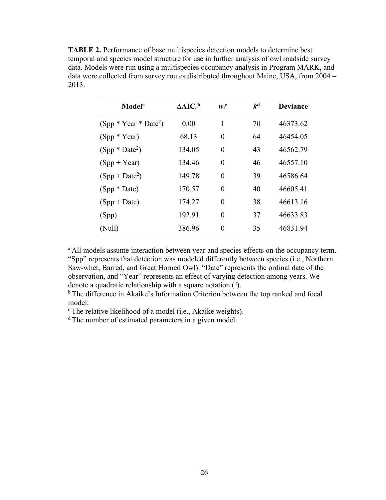**TABLE 2.** Performance of base multispecies detection models to determine best temporal and species model structure for use in further analysis of owl roadside survey data. Models were run using a multispecies occupancy analysis in Program MARK, and data were collected from survey routes distributed throughout Maine, USA, from 2004 – 2013.

| <b>Model</b> <sup>a</sup> | $\Delta AIC_c^b$ | $w_i^c$  | $k^{\rm d}$ | <b>Deviance</b> |
|---------------------------|------------------|----------|-------------|-----------------|
| $(Spp * Year * Date^2)$   | 0.00             | 1        | 70          | 46373.62        |
| $(Spp * Year)$            | 68.13            | $\theta$ | 64          | 46454.05        |
| $(Spp * Date2)$           | 134.05           | $\theta$ | 43          | 46562.79        |
| $(Spp + Year)$            | 134.46           | $\theta$ | 46          | 46557.10        |
| $(Spp + Date^2)$          | 149.78           | $\theta$ | 39          | 46586.64        |
| $(Spp * Date)$            | 170.57           | $\theta$ | 40          | 46605.41        |
| $(Spp + Date)$            | 174.27           | $\theta$ | 38          | 46613.16        |
| (Spp)                     | 192.91           | $\theta$ | 37          | 46633.83        |
| (Null)                    | 386.96           | $\theta$ | 35          | 46831.94        |

<sup>a</sup> All models assume interaction between year and species effects on the occupancy term. "Spp" represents that detection was modeled differently between species (i.e., Northern Saw-whet, Barred, and Great Horned Owl). "Date" represents the ordinal date of the observation, and "Year" represents an effect of varying detection among years. We denote a quadratic relationship with a square notation  $(2)$ .

<sup>b</sup> The difference in Akaike's Information Criterion between the top ranked and focal model.

c The relative likelihood of a model (i.e., Akaike weights).

d The number of estimated parameters in a given model.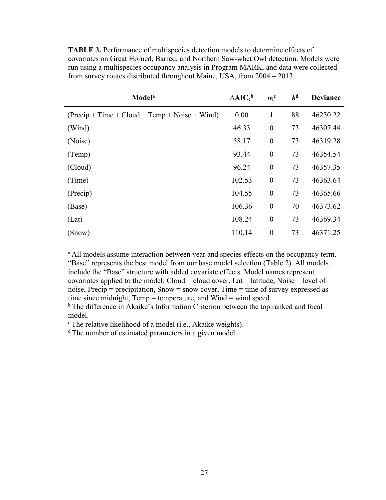**TABLE 3.** Performance of multispecies detection models to determine effects of covariates on Great Horned, Barred, and Northern Saw-whet Owl detection. Models were run using a multispecies occupancy analysis in Program MARK, and data were collected from survey routes distributed throughout Maine, USA, from 2004 – 2013.

| <b>Model</b> <sup>a</sup>                       | $\triangle AIC_c^b$ | $w_i^c$          | $k^{\rm d}$ | <b>Deviance</b> |
|-------------------------------------------------|---------------------|------------------|-------------|-----------------|
| $(Precip + Time + Cloud + Temp + Noise + Wind)$ | 0.00                | $\mathbf{1}$     | 88          | 46230.22        |
| (Wind)                                          | 46.33               | $\boldsymbol{0}$ | 73          | 46307.44        |
| (Noise)                                         | 58.17               | $\boldsymbol{0}$ | 73          | 46319.28        |
| (Temp)                                          | 93.44               | $\boldsymbol{0}$ | 73          | 46354.54        |
| (Cloud)                                         | 96.24               | $\boldsymbol{0}$ | 73          | 46357.35        |
| (Time)                                          | 102.53              | $\boldsymbol{0}$ | 73          | 46363.64        |
| (Precip)                                        | 104.55              | $\boldsymbol{0}$ | 73          | 46365.66        |
| (Base)                                          | 106.36              | $\boldsymbol{0}$ | 70          | 46373.62        |
| (Lat)                                           | 108.24              | $\boldsymbol{0}$ | 73          | 46369.34        |
| (Snow)                                          | 110.14              | $\boldsymbol{0}$ | 73          | 46371.25        |
|                                                 |                     |                  |             |                 |

<sup>a</sup> All models assume interaction between year and species effects on the occupancy term. "Base" represents the best model from our base model selection (Table 2). All models include the "Base" structure with added covariate effects. Model names represent covariates applied to the model: Cloud = cloud cover, Lat = latitude, Noise = level of noise, Precip = precipitation, Snow = snow cover, Time = time of survey expressed as time since midnight, Temp = temperature, and Wind = wind speed.

b The difference in Akaike's Information Criterion between the top ranked and focal model.

<sup>c</sup> The relative likelihood of a model (i.e., Akaike weights).

d The number of estimated parameters in a given model.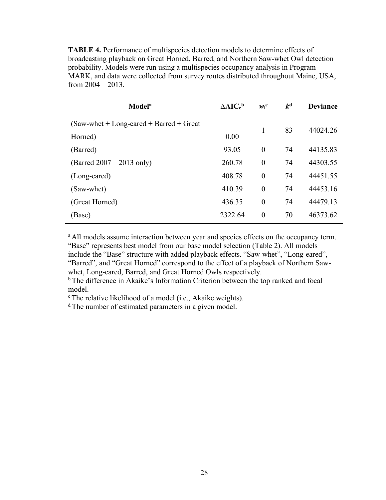**TABLE 4.** Performance of multispecies detection models to determine effects of broadcasting playback on Great Horned, Barred, and Northern Saw-whet Owl detection probability. Models were run using a multispecies occupancy analysis in Program MARK, and data were collected from survey routes distributed throughout Maine, USA, from  $2004 - 2013$ .

| <b>Model</b> <sup>a</sup>                         | $\triangle AIC_c^b$ | $w_i^c$  | $k^{\rm d}$ | <b>Deviance</b> |
|---------------------------------------------------|---------------------|----------|-------------|-----------------|
| $(Saw-whet + Long\text{-}eared + Barred + Great)$ |                     |          |             |                 |
| Horned)                                           | 0.00                | 1        | 83          | 44024.26        |
| (Barred)                                          | 93.05               | $\theta$ | 74          | 44135.83        |
| (Barred $2007 - 2013$ only)                       | 260.78              | $\theta$ | 74          | 44303.55        |
| (Long-eared)                                      | 408.78              | $\theta$ | 74          | 44451.55        |
| (Saw-whet)                                        | 410.39              | $\theta$ | 74          | 44453.16        |
| (Great Horned)                                    | 436.35              | $\theta$ | 74          | 44479.13        |
| (Base)                                            | 2322.64             | $\theta$ | 70          | 46373.62        |

<sup>a</sup> All models assume interaction between year and species effects on the occupancy term. "Base" represents best model from our base model selection (Table 2). All models

include the "Base" structure with added playback effects. "Saw-whet", "Long-eared", "Barred", and "Great Horned" correspond to the effect of a playback of Northern Sawwhet, Long-eared, Barred, and Great Horned Owls respectively.

b The difference in Akaike's Information Criterion between the top ranked and focal model.

<sup>c</sup> The relative likelihood of a model (i.e., Akaike weights).

<sup>d</sup> The number of estimated parameters in a given model.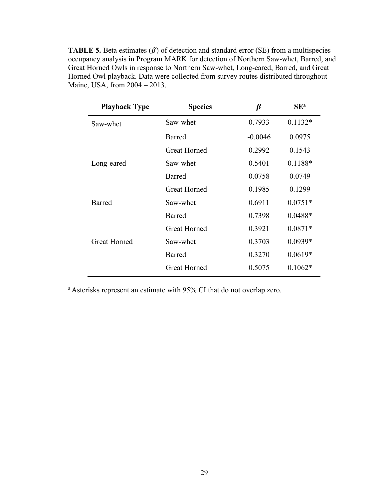**TABLE 5.** Beta estimates  $(\beta)$  of detection and standard error (SE) from a multispecies occupancy analysis in Program MARK for detection of Northern Saw-whet, Barred, and Great Horned Owls in response to Northern Saw-whet, Long-eared, Barred, and Great Horned Owl playback. Data were collected from survey routes distributed throughout Maine, USA, from 2004 – 2013.

| <b>Playback Type</b> | <b>Species</b>      | β         | SE <sup>a</sup> |
|----------------------|---------------------|-----------|-----------------|
| Saw-whet             | Saw-whet            | 0.7933    | $0.1132*$       |
|                      | Barred              | $-0.0046$ | 0.0975          |
|                      | Great Horned        | 0.2992    | 0.1543          |
| Long-eared           | Saw-whet            | 0.5401    | $0.1188*$       |
|                      | Barred              | 0.0758    | 0.0749          |
|                      | <b>Great Horned</b> | 0.1985    | 0.1299          |
| Barred               | Saw-whet            | 0.6911    | $0.0751*$       |
|                      | Barred              | 0.7398    | $0.0488*$       |
|                      | <b>Great Horned</b> | 0.3921    | $0.0871*$       |
| <b>Great Horned</b>  | Saw-whet            | 0.3703    | $0.0939*$       |
|                      | Barred              | 0.3270    | $0.0619*$       |
|                      | <b>Great Horned</b> | 0.5075    | $0.1062*$       |

a Asterisks represent an estimate with 95% CI that do not overlap zero.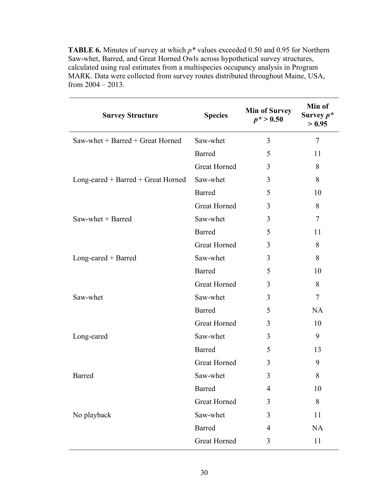**TABLE 6.** Minutes of survey at which *p\** values exceeded 0.50 and 0.95 for Northern Saw-whet, Barred, and Great Horned Owls across hypothetical survey structures, calculated using real estimates from a multispecies occupancy analysis in Program MARK. Data were collected from survey routes distributed throughout Maine, USA, from  $2004 - 2013$ .

| <b>Survey Structure</b>              | <b>Species</b>      | <b>Min of Survey</b><br>$p^* > 0.50$ | Min of<br>Survey $p^*$<br>> 0.95 |
|--------------------------------------|---------------------|--------------------------------------|----------------------------------|
| Saw-whet $+$ Barred $+$ Great Horned | Saw-whet            | 3                                    | $\tau$                           |
|                                      | Barred              | 5                                    | 11                               |
|                                      | <b>Great Horned</b> | 3                                    | 8                                |
| Long-eared + Barred + Great Horned   | Saw-whet            | 3                                    | 8                                |
|                                      | <b>Barred</b>       | 5                                    | 10                               |
|                                      | <b>Great Horned</b> | 3                                    | 8                                |
| Saw-whet + Barred                    | Saw-whet            | 3                                    | 7                                |
|                                      | <b>Barred</b>       | 5                                    | 11                               |
|                                      | <b>Great Horned</b> | 3                                    | 8                                |
| $Long\text{-}eared + Barred$         | Saw-whet            | 3                                    | 8                                |
|                                      | Barred              | 5                                    | 10                               |
|                                      | <b>Great Horned</b> | 3                                    | 8                                |
| Saw-whet                             | Saw-whet            | 3                                    | 7                                |
|                                      | Barred              | 5                                    | <b>NA</b>                        |
|                                      | <b>Great Horned</b> | 3                                    | 10                               |
| Long-eared                           | Saw-whet            | 3                                    | 9                                |
|                                      | <b>Barred</b>       | 5                                    | 13                               |
|                                      | <b>Great Horned</b> | 3                                    | 9                                |
| Barred                               | Saw-whet            | 3                                    | 8                                |
|                                      | <b>Barred</b>       | $\overline{4}$                       | 10                               |
|                                      | <b>Great Horned</b> | 3                                    | 8                                |
| No playback                          | Saw-whet            | 3                                    | 11                               |
|                                      | <b>Barred</b>       | $\overline{4}$                       | <b>NA</b>                        |
|                                      | Great Horned        | 3                                    | 11                               |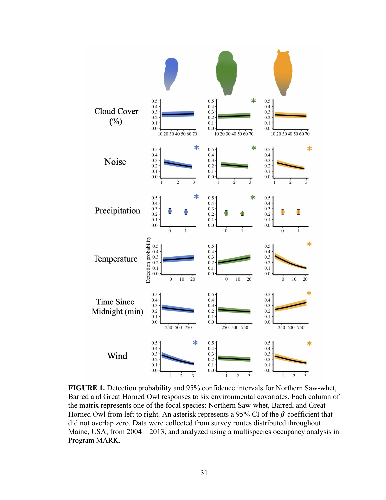

**FIGURE 1.** Detection probability and 95% confidence intervals for Northern Saw-whet, Barred and Great Horned Owl responses to six environmental covariates. Each column of the matrix represents one of the focal species: Northern Saw-whet, Barred, and Great Horned Owl from left to right. An asterisk represents a 95% CI of the  $\beta$  coefficient that did not overlap zero. Data were collected from survey routes distributed throughout Maine, USA, from 2004 – 2013, and analyzed using a multispecies occupancy analysis in Program MARK.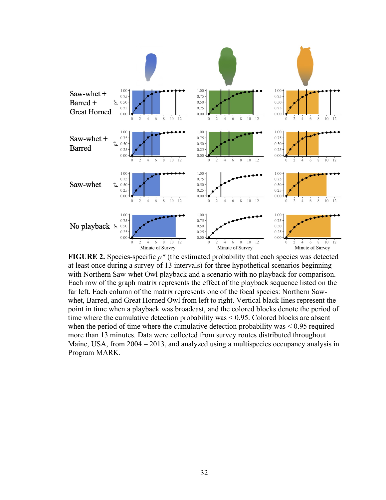

**FIGURE 2.** Species-specific *p\** (the estimated probability that each species was detected at least once during a survey of 13 intervals) for three hypothetical scenarios beginning with Northern Saw-whet Owl playback and a scenario with no playback for comparison. Each row of the graph matrix represents the effect of the playback sequence listed on the far left. Each column of the matrix represents one of the focal species: Northern Sawwhet, Barred, and Great Horned Owl from left to right. Vertical black lines represent the point in time when a playback was broadcast, and the colored blocks denote the period of time where the cumulative detection probability was < 0.95. Colored blocks are absent when the period of time where the cumulative detection probability was  $\leq 0.95$  required more than 13 minutes. Data were collected from survey routes distributed throughout Maine, USA, from 2004 – 2013, and analyzed using a multispecies occupancy analysis in Program MARK.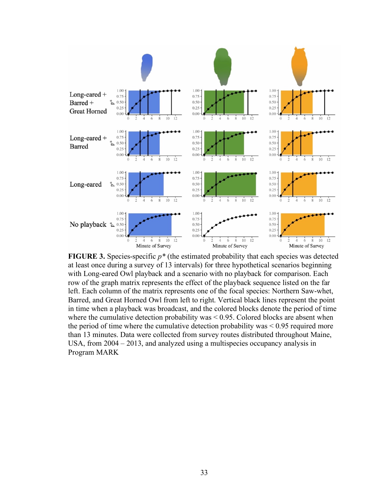

**FIGURE 3.** Species-specific *p\** (the estimated probability that each species was detected at least once during a survey of 13 intervals) for three hypothetical scenarios beginning with Long-eared Owl playback and a scenario with no playback for comparison. Each row of the graph matrix represents the effect of the playback sequence listed on the far left. Each column of the matrix represents one of the focal species: Northern Saw-whet, Barred, and Great Horned Owl from left to right. Vertical black lines represent the point in time when a playback was broadcast, and the colored blocks denote the period of time where the cumulative detection probability was  $\leq$  0.95. Colored blocks are absent when the period of time where the cumulative detection probability was < 0.95 required more than 13 minutes. Data were collected from survey routes distributed throughout Maine, USA, from 2004 – 2013, and analyzed using a multispecies occupancy analysis in Program MARK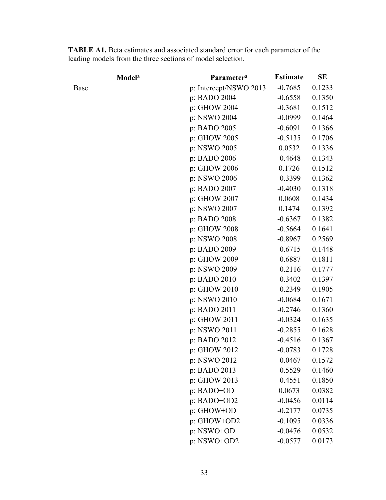| <b>Model</b> <sup>a</sup> | Parameter <sup>a</sup> | <b>Estimate</b> | <b>SE</b> |
|---------------------------|------------------------|-----------------|-----------|
| Base                      | p: Intercept/NSWO 2013 | $-0.7685$       | 0.1233    |
|                           | p: BADO 2004           | $-0.6558$       | 0.1350    |
|                           | p: GHOW 2004           | $-0.3681$       | 0.1512    |
|                           | p: NSWO 2004           | $-0.0999$       | 0.1464    |
|                           | p: BADO 2005           | $-0.6091$       | 0.1366    |
|                           | p: GHOW 2005           | $-0.5135$       | 0.1706    |
|                           | p: NSWO 2005           | 0.0532          | 0.1336    |
|                           | p: BADO 2006           | $-0.4648$       | 0.1343    |
|                           | p: GHOW 2006           | 0.1726          | 0.1512    |
|                           | p: NSWO 2006           | $-0.3399$       | 0.1362    |
|                           | p: BADO 2007           | $-0.4030$       | 0.1318    |
|                           | p: GHOW 2007           | 0.0608          | 0.1434    |
|                           | p: NSWO 2007           | 0.1474          | 0.1392    |
|                           | p: BADO 2008           | $-0.6367$       | 0.1382    |
|                           | p: GHOW 2008           | $-0.5664$       | 0.1641    |
|                           | p: NSWO 2008           | $-0.8967$       | 0.2569    |
|                           | p: BADO 2009           | $-0.6715$       | 0.1448    |
|                           | p: GHOW 2009           | $-0.6887$       | 0.1811    |
|                           | p: NSWO 2009           | $-0.2116$       | 0.1777    |
|                           | p: BADO 2010           | $-0.3402$       | 0.1397    |
|                           | p: GHOW 2010           | $-0.2349$       | 0.1905    |
|                           | p: NSWO 2010           | $-0.0684$       | 0.1671    |
|                           | p: BADO 2011           | $-0.2746$       | 0.1360    |
|                           | p: GHOW 2011           | $-0.0324$       | 0.1635    |
|                           | p: NSWO 2011           | $-0.2855$       | 0.1628    |
|                           | p: BADO 2012           | $-0.4516$       | 0.1367    |
|                           | p: GHOW 2012           | $-0.0783$       | 0.1728    |
|                           | p: NSWO 2012           | $-0.0467$       | 0.1572    |
|                           | p: BADO 2013           | $-0.5529$       | 0.1460    |
|                           | p: GHOW 2013           | $-0.4551$       | 0.1850    |
|                           | p: BADO+OD             | 0.0673          | 0.0382    |
|                           | p: BADO+OD2            | $-0.0456$       | 0.0114    |
|                           | p: GHOW+OD             | $-0.2177$       | 0.0735    |
|                           | p: GHOW+OD2            | $-0.1095$       | 0.0336    |
|                           | p: NSWO+OD             | $-0.0476$       | 0.0532    |
|                           | p: NSWO+OD2            | $-0.0577$       | 0.0173    |

**TABLE A1.** Beta estimates and associated standard error for each parameter of the leading models from the three sections of model selection.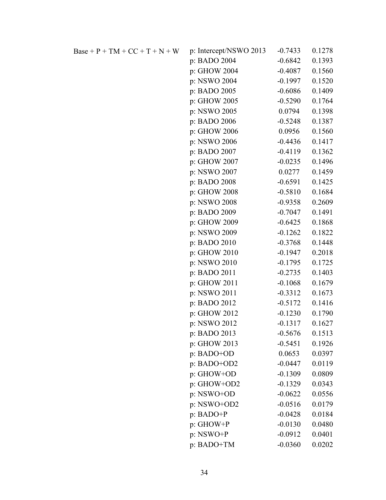| Base + P + TM + CC + T + N + W | p: Intercept/NSWO 2013 | $-0.7433$ | 0.1278 |
|--------------------------------|------------------------|-----------|--------|
|                                | p: BADO 2004           | $-0.6842$ | 0.1393 |
|                                | p: GHOW 2004           | $-0.4087$ | 0.1560 |
|                                | p: NSWO 2004           | $-0.1997$ | 0.1520 |
|                                | p: BADO 2005           | $-0.6086$ | 0.1409 |
|                                | p: GHOW 2005           | $-0.5290$ | 0.1764 |
|                                | p: NSWO 2005           | 0.0794    | 0.1398 |
|                                | p: BADO 2006           | $-0.5248$ | 0.1387 |
|                                | p: GHOW 2006           | 0.0956    | 0.1560 |
|                                | p: NSWO 2006           | $-0.4436$ | 0.1417 |
|                                | p: BADO 2007           | $-0.4119$ | 0.1362 |
|                                | p: GHOW 2007           | $-0.0235$ | 0.1496 |
|                                | p: NSWO 2007           | 0.0277    | 0.1459 |
|                                | p: BADO 2008           | $-0.6591$ | 0.1425 |
|                                | p: GHOW 2008           | $-0.5810$ | 0.1684 |
|                                | p: NSWO 2008           | $-0.9358$ | 0.2609 |
|                                | p: BADO 2009           | $-0.7047$ | 0.1491 |
|                                | p: GHOW 2009           | $-0.6425$ | 0.1868 |
|                                | p: NSWO 2009           | $-0.1262$ | 0.1822 |
|                                | p: BADO 2010           | $-0.3768$ | 0.1448 |
|                                | p: GHOW 2010           | $-0.1947$ | 0.2018 |
|                                | p: NSWO 2010           | $-0.1795$ | 0.1725 |
|                                | p: BADO 2011           | $-0.2735$ | 0.1403 |
|                                | p: GHOW 2011           | $-0.1068$ | 0.1679 |
|                                | p: NSWO 2011           | $-0.3312$ | 0.1673 |
|                                | p: BADO 2012           | $-0.5172$ | 0.1416 |
|                                | p: GHOW 2012           | $-0.1230$ | 0.1790 |
|                                | p: NSWO 2012           | $-0.1317$ | 0.1627 |
|                                | p: BADO 2013           | $-0.5676$ | 0.1513 |
|                                | p: GHOW 2013           | $-0.5451$ | 0.1926 |
|                                | p: BADO+OD             | 0.0653    | 0.0397 |
|                                | p: BADO+OD2            | $-0.0447$ | 0.0119 |
|                                | p: GHOW+OD             | $-0.1309$ | 0.0809 |
|                                | p: GHOW+OD2            | $-0.1329$ | 0.0343 |
|                                | p: NSWO+OD             | $-0.0622$ | 0.0556 |
|                                | p: NSWO+OD2            | $-0.0516$ | 0.0179 |
|                                | p: BADO+P              | $-0.0428$ | 0.0184 |
|                                | p: GHOW+P              | $-0.0130$ | 0.0480 |
|                                | $p: NSWO+P$            | $-0.0912$ | 0.0401 |
|                                | p: BADO+TM             | $-0.0360$ | 0.0202 |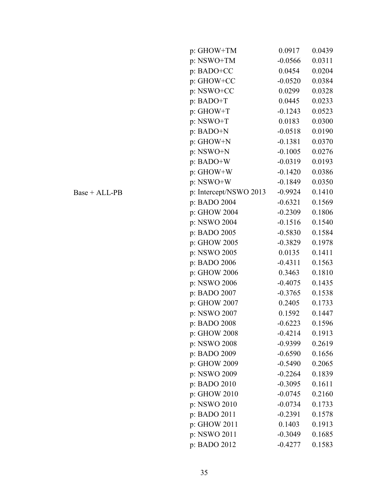| p: GHOW+TM             | 0.0917    | 0.0439 |
|------------------------|-----------|--------|
| p: NSWO+TM             | $-0.0566$ | 0.0311 |
| p: BADO+CC             | 0.0454    | 0.0204 |
| p: GHOW+CC             | $-0.0520$ | 0.0384 |
| p: NSWO+CC             | 0.0299    | 0.0328 |
| p: BADO+T              | 0.0445    | 0.0233 |
| p: GHOW+T              | $-0.1243$ | 0.0523 |
| p: NSWO+T              | 0.0183    | 0.0300 |
| p: BADO+N              | $-0.0518$ | 0.0190 |
| p: GHOW+N              | $-0.1381$ | 0.0370 |
| p: NSWO+N              | $-0.1005$ | 0.0276 |
| p: BADO+W              | $-0.0319$ | 0.0193 |
| p: GHOW+W              | $-0.1420$ | 0.0386 |
| p: NSWO+W              | $-0.1849$ | 0.0350 |
| p: Intercept/NSWO 2013 | $-0.9924$ | 0.1410 |
| p: BADO 2004           | $-0.6321$ | 0.1569 |
| p: GHOW 2004           | $-0.2309$ | 0.1806 |
| p: NSWO 2004           | $-0.1516$ | 0.1540 |
| p: BADO 2005           | $-0.5830$ | 0.1584 |
| p: GHOW 2005           | $-0.3829$ | 0.1978 |
| p: NSWO 2005           | 0.0135    | 0.1411 |
| p: BADO 2006           | $-0.4311$ | 0.1563 |
| p: GHOW 2006           | 0.3463    | 0.1810 |
| p: NSWO 2006           | $-0.4075$ | 0.1435 |
| p: BADO 2007           | $-0.3765$ | 0.1538 |
| p: GHOW 2007           | 0.2405    | 0.1733 |
| p: NSWO 2007           | 0.1592    | 0.1447 |
| p: BADO 2008           | $-0.6223$ | 0.1596 |
| p: GHOW 2008           | $-0.4214$ | 0.1913 |
| p: NSWO 2008           | $-0.9399$ | 0.2619 |
| p: BADO 2009           | $-0.6590$ | 0.1656 |
| p: GHOW 2009           | $-0.5490$ | 0.2065 |
| p: NSWO 2009           | $-0.2264$ | 0.1839 |
| p: BADO 2010           | $-0.3095$ | 0.1611 |
| p: GHOW 2010           | $-0.0745$ | 0.2160 |
| p: NSWO 2010           | $-0.0734$ | 0.1733 |
| p: BADO 2011           | $-0.2391$ | 0.1578 |
| p: GHOW 2011           | 0.1403    | 0.1913 |
| p: NSWO 2011           | $-0.3049$ | 0.1685 |
| p: BADO 2012           | $-0.4277$ | 0.1583 |

 $Base + ALL-PB$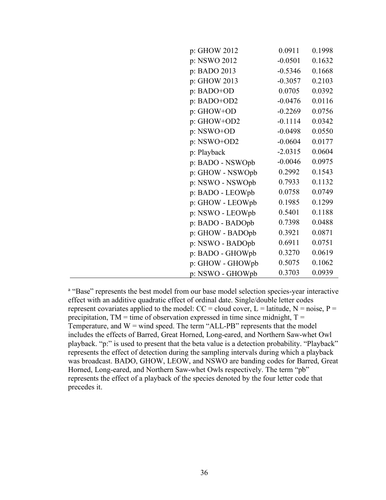| p: GHOW 2012<br>0.0911<br>0.1998<br>p: NSWO 2012<br>$-0.0501$<br>0.1632<br>p: BADO 2013<br>$-0.5346$<br>0.1668<br>p: GHOW 2013<br>$-0.3057$<br>0.2103<br>p: BADO+OD<br>0.0705<br>0.0392<br>p: BADO+OD2<br>$-0.0476$<br>0.0116<br>p: GHOW+OD<br>0.0756<br>$-0.2269$<br>$-0.1114$<br>p: GHOW+OD2<br>0.0342<br>p: NSWO+OD<br>$-0.0498$<br>0.0550<br>p: NSWO+OD2<br>$-0.0604$<br>0.0177<br>$-2.0315$<br>0.0604<br>p: Playback<br>0.0975<br>$-0.0046$<br>p: BADO - NSWOpb<br>0.2992<br>0.1543<br>p: GHOW - NSWOpb<br>0.7933<br>0.1132<br>p: NSWO - NSWOpb<br>0.0758<br>0.0749<br>p: BADO - LEOWpb<br>0.1985<br>0.1299<br>p: GHOW - LEOWpb<br>0.5401<br>0.1188<br>p: NSWO - LEOWpb<br>0.7398<br>0.0488<br>p: BADO - BADOpb<br>0.0871<br>0.3921<br>p: GHOW - BADOpb<br>0.6911<br>0.0751<br>p: NSWO - BADOpb<br>0.3270<br>0.0619<br>p: BADO - GHOWpb<br>0.1062<br>0.5075<br>p: GHOW - GHOWpb<br>0.3703<br>0.0939<br>p: NSWO - GHOWpb |  |  |
|------------------------------------------------------------------------------------------------------------------------------------------------------------------------------------------------------------------------------------------------------------------------------------------------------------------------------------------------------------------------------------------------------------------------------------------------------------------------------------------------------------------------------------------------------------------------------------------------------------------------------------------------------------------------------------------------------------------------------------------------------------------------------------------------------------------------------------------------------------------------------------------------------------------------------|--|--|
|                                                                                                                                                                                                                                                                                                                                                                                                                                                                                                                                                                                                                                                                                                                                                                                                                                                                                                                              |  |  |
|                                                                                                                                                                                                                                                                                                                                                                                                                                                                                                                                                                                                                                                                                                                                                                                                                                                                                                                              |  |  |
|                                                                                                                                                                                                                                                                                                                                                                                                                                                                                                                                                                                                                                                                                                                                                                                                                                                                                                                              |  |  |
|                                                                                                                                                                                                                                                                                                                                                                                                                                                                                                                                                                                                                                                                                                                                                                                                                                                                                                                              |  |  |
|                                                                                                                                                                                                                                                                                                                                                                                                                                                                                                                                                                                                                                                                                                                                                                                                                                                                                                                              |  |  |
|                                                                                                                                                                                                                                                                                                                                                                                                                                                                                                                                                                                                                                                                                                                                                                                                                                                                                                                              |  |  |
|                                                                                                                                                                                                                                                                                                                                                                                                                                                                                                                                                                                                                                                                                                                                                                                                                                                                                                                              |  |  |
|                                                                                                                                                                                                                                                                                                                                                                                                                                                                                                                                                                                                                                                                                                                                                                                                                                                                                                                              |  |  |
|                                                                                                                                                                                                                                                                                                                                                                                                                                                                                                                                                                                                                                                                                                                                                                                                                                                                                                                              |  |  |
|                                                                                                                                                                                                                                                                                                                                                                                                                                                                                                                                                                                                                                                                                                                                                                                                                                                                                                                              |  |  |
|                                                                                                                                                                                                                                                                                                                                                                                                                                                                                                                                                                                                                                                                                                                                                                                                                                                                                                                              |  |  |
|                                                                                                                                                                                                                                                                                                                                                                                                                                                                                                                                                                                                                                                                                                                                                                                                                                                                                                                              |  |  |
|                                                                                                                                                                                                                                                                                                                                                                                                                                                                                                                                                                                                                                                                                                                                                                                                                                                                                                                              |  |  |
|                                                                                                                                                                                                                                                                                                                                                                                                                                                                                                                                                                                                                                                                                                                                                                                                                                                                                                                              |  |  |
|                                                                                                                                                                                                                                                                                                                                                                                                                                                                                                                                                                                                                                                                                                                                                                                                                                                                                                                              |  |  |
|                                                                                                                                                                                                                                                                                                                                                                                                                                                                                                                                                                                                                                                                                                                                                                                                                                                                                                                              |  |  |
|                                                                                                                                                                                                                                                                                                                                                                                                                                                                                                                                                                                                                                                                                                                                                                                                                                                                                                                              |  |  |
|                                                                                                                                                                                                                                                                                                                                                                                                                                                                                                                                                                                                                                                                                                                                                                                                                                                                                                                              |  |  |
|                                                                                                                                                                                                                                                                                                                                                                                                                                                                                                                                                                                                                                                                                                                                                                                                                                                                                                                              |  |  |
|                                                                                                                                                                                                                                                                                                                                                                                                                                                                                                                                                                                                                                                                                                                                                                                                                                                                                                                              |  |  |
|                                                                                                                                                                                                                                                                                                                                                                                                                                                                                                                                                                                                                                                                                                                                                                                                                                                                                                                              |  |  |
|                                                                                                                                                                                                                                                                                                                                                                                                                                                                                                                                                                                                                                                                                                                                                                                                                                                                                                                              |  |  |
|                                                                                                                                                                                                                                                                                                                                                                                                                                                                                                                                                                                                                                                                                                                                                                                                                                                                                                                              |  |  |

<sup>a</sup> "Base" represents the best model from our base model selection species-year interactive effect with an additive quadratic effect of ordinal date. Single/double letter codes represent covariates applied to the model:  $CC =$  cloud cover,  $L =$  latitude,  $N =$  noise,  $P =$ precipitation,  $TM =$  time of observation expressed in time since midnight,  $T =$ Temperature, and  $W =$  wind speed. The term "ALL-PB" represents that the model includes the effects of Barred, Great Horned, Long-eared, and Northern Saw-whet Owl playback. "p:" is used to present that the beta value is a detection probability. "Playback" represents the effect of detection during the sampling intervals during which a playback was broadcast. BADO, GHOW, LEOW, and NSWO are banding codes for Barred, Great Horned, Long-eared, and Northern Saw-whet Owls respectively. The term "pb" represents the effect of a playback of the species denoted by the four letter code that precedes it.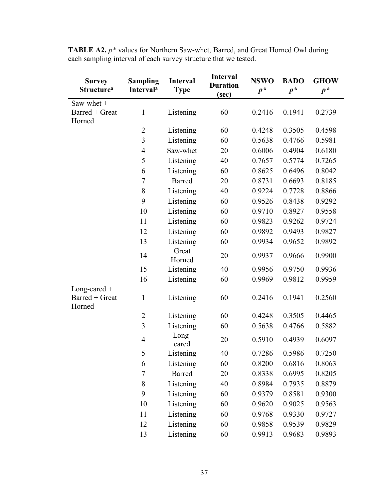| <b>Survey</b><br><b>Structure</b> <sup>a</sup> | <b>Sampling</b><br><b>Interval</b> <sup>a</sup> | <b>Interval</b><br><b>Type</b> | <b>Interval</b><br><b>Duration</b><br>(sec) | <b>NSWO</b><br>$p^*$ | <b>BADO</b><br>$p^*$ | <b>GHOW</b><br>$p^*$ |
|------------------------------------------------|-------------------------------------------------|--------------------------------|---------------------------------------------|----------------------|----------------------|----------------------|
| Saw-whet +                                     |                                                 |                                |                                             |                      |                      |                      |
| Barred + Great<br>Horned                       | $\mathbf{1}$                                    | Listening                      | 60                                          | 0.2416               | 0.1941               | 0.2739               |
|                                                | $\overline{2}$                                  | Listening                      | 60                                          | 0.4248               | 0.3505               | 0.4598               |
|                                                | $\overline{\mathbf{3}}$                         | Listening                      | 60                                          | 0.5638               | 0.4766               | 0.5981               |
|                                                | $\overline{4}$                                  | Saw-whet                       | 20                                          | 0.6006               | 0.4904               | 0.6180               |
|                                                | 5                                               | Listening                      | 40                                          | 0.7657               | 0.5774               | 0.7265               |
|                                                | 6                                               | Listening                      | 60                                          | 0.8625               | 0.6496               | 0.8042               |
|                                                | $\overline{7}$                                  | <b>Barred</b>                  | 20                                          | 0.8731               | 0.6693               | 0.8185               |
|                                                | 8                                               | Listening                      | 40                                          | 0.9224               | 0.7728               | 0.8866               |
|                                                | 9                                               | Listening                      | 60                                          | 0.9526               | 0.8438               | 0.9292               |
|                                                | 10                                              | Listening                      | 60                                          | 0.9710               | 0.8927               | 0.9558               |
|                                                | 11                                              | Listening                      | 60                                          | 0.9823               | 0.9262               | 0.9724               |
|                                                | 12                                              | Listening                      | 60                                          | 0.9892               | 0.9493               | 0.9827               |
|                                                | 13                                              | Listening                      | 60                                          | 0.9934               | 0.9652               | 0.9892               |
|                                                | 14                                              | Great<br>Horned                | 20                                          | 0.9937               | 0.9666               | 0.9900               |
|                                                | 15                                              | Listening                      | 40                                          | 0.9956               | 0.9750               | 0.9936               |
|                                                | 16                                              | Listening                      | 60                                          | 0.9969               | 0.9812               | 0.9959               |
| Long-eared $+$                                 |                                                 |                                |                                             |                      |                      |                      |
| Barred + Great<br>Horned                       | 1                                               | Listening                      | 60                                          | 0.2416               | 0.1941               | 0.2560               |
|                                                | $\overline{2}$                                  | Listening                      | 60                                          | 0.4248               | 0.3505               | 0.4465               |
|                                                | $\overline{3}$                                  | Listening                      | 60                                          | 0.5638               | 0.4766               | 0.5882               |
|                                                | $\overline{4}$                                  | Long-<br>eared                 | 20                                          | 0.5910               | 0.4939               | 0.6097               |
|                                                | 5                                               | Listening                      | 40                                          | 0.7286               | 0.5986               | 0.7250               |
|                                                | 6                                               | Listening                      | 60                                          | 0.8200               | 0.6816               | 0.8063               |
|                                                | $\sqrt{ }$                                      | <b>Barred</b>                  | 20                                          | 0.8338               | 0.6995               | 0.8205               |
|                                                | 8                                               | Listening                      | 40                                          | 0.8984               | 0.7935               | 0.8879               |
|                                                | 9                                               | Listening                      | 60                                          | 0.9379               | 0.8581               | 0.9300               |
|                                                | 10                                              | Listening                      | 60                                          | 0.9620               | 0.9025               | 0.9563               |
|                                                | 11                                              | Listening                      | 60                                          | 0.9768               | 0.9330               | 0.9727               |
|                                                | 12                                              | Listening                      | 60                                          | 0.9858               | 0.9539               | 0.9829               |
|                                                | 13                                              | Listening                      | 60                                          | 0.9913               | 0.9683               | 0.9893               |

**TABLE A2.** *p\** values for Northern Saw-whet, Barred, and Great Horned Owl during each sampling interval of each survey structure that we tested.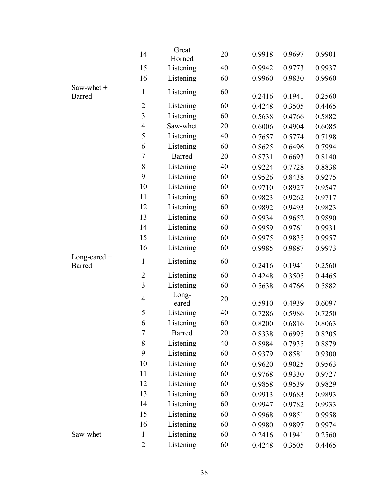|                          | 14               | Great<br>Horned | 20 | 0.9918 | 0.9697 | 0.9901 |
|--------------------------|------------------|-----------------|----|--------|--------|--------|
|                          | 15               | Listening       | 40 | 0.9942 | 0.9773 | 0.9937 |
|                          | 16               | Listening       | 60 | 0.9960 | 0.9830 | 0.9960 |
| Saw-whet +<br>Barred     | $\mathbf{1}$     | Listening       | 60 | 0.2416 | 0.1941 | 0.2560 |
|                          | $\overline{2}$   | Listening       | 60 | 0.4248 | 0.3505 | 0.4465 |
|                          | $\overline{3}$   | Listening       | 60 | 0.5638 | 0.4766 | 0.5882 |
|                          | $\overline{4}$   | Saw-whet        | 20 | 0.6006 | 0.4904 | 0.6085 |
|                          | 5                | Listening       | 40 | 0.7657 | 0.5774 | 0.7198 |
|                          | 6                | Listening       | 60 | 0.8625 | 0.6496 | 0.7994 |
|                          | $\overline{7}$   | Barred          | 20 | 0.8731 | 0.6693 | 0.8140 |
|                          | 8                | Listening       | 40 | 0.9224 | 0.7728 | 0.8838 |
|                          | 9                | Listening       | 60 | 0.9526 | 0.8438 | 0.9275 |
|                          | 10               | Listening       | 60 | 0.9710 | 0.8927 | 0.9547 |
|                          | 11               | Listening       | 60 | 0.9823 | 0.9262 | 0.9717 |
|                          | 12               | Listening       | 60 | 0.9892 | 0.9493 | 0.9823 |
|                          | 13               | Listening       | 60 | 0.9934 | 0.9652 | 0.9890 |
|                          | 14               | Listening       | 60 | 0.9959 | 0.9761 | 0.9931 |
|                          | 15               | Listening       | 60 | 0.9975 | 0.9835 | 0.9957 |
|                          | 16               | Listening       | 60 | 0.9985 | 0.9887 | 0.9973 |
| Long-eared $+$<br>Barred | $\mathbf{1}$     | Listening       | 60 | 0.2416 | 0.1941 | 0.2560 |
|                          | $\overline{2}$   | Listening       | 60 | 0.4248 | 0.3505 | 0.4465 |
|                          | 3                | Listening       | 60 | 0.5638 | 0.4766 | 0.5882 |
|                          | $\overline{4}$   | Long-<br>eared  | 20 | 0.5910 | 0.4939 | 0.6097 |
|                          | 5                | Listening       | 40 | 0.7286 | 0.5986 | 0.7250 |
|                          | 6                | Listening       | 60 | 0.8200 | 0.6816 | 0.8063 |
|                          | $\boldsymbol{7}$ | <b>Barred</b>   | 20 | 0.8338 | 0.6995 | 0.8205 |
|                          | 8                | Listening       | 40 | 0.8984 | 0.7935 | 0.8879 |
|                          | 9                | Listening       | 60 | 0.9379 | 0.8581 | 0.9300 |
|                          | 10               | Listening       | 60 | 0.9620 | 0.9025 | 0.9563 |
|                          | 11               | Listening       | 60 | 0.9768 | 0.9330 | 0.9727 |
|                          | 12               | Listening       | 60 | 0.9858 | 0.9539 | 0.9829 |
|                          | 13               | Listening       | 60 | 0.9913 | 0.9683 | 0.9893 |
|                          | 14               | Listening       | 60 | 0.9947 | 0.9782 | 0.9933 |
|                          | 15               | Listening       | 60 | 0.9968 | 0.9851 | 0.9958 |
|                          | 16               | Listening       | 60 | 0.9980 | 0.9897 | 0.9974 |
| Saw-whet                 | $\mathbf{1}$     | Listening       | 60 | 0.2416 | 0.1941 | 0.2560 |
|                          | $\overline{2}$   | Listening       | 60 | 0.4248 | 0.3505 | 0.4465 |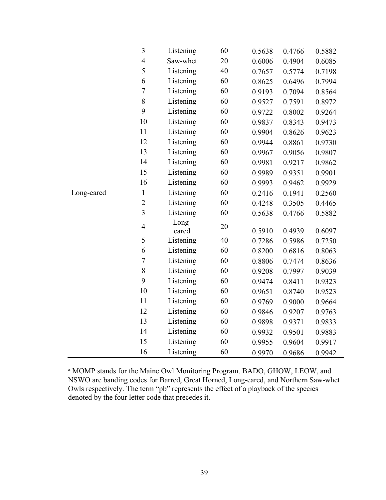|            | 3              | Listening      | 60 | 0.5638 | 0.4766 | 0.5882 |
|------------|----------------|----------------|----|--------|--------|--------|
|            | $\overline{4}$ | Saw-whet       | 20 | 0.6006 | 0.4904 | 0.6085 |
|            | 5              | Listening      | 40 | 0.7657 | 0.5774 | 0.7198 |
|            | 6              | Listening      | 60 | 0.8625 | 0.6496 | 0.7994 |
|            | $\overline{7}$ | Listening      | 60 | 0.9193 | 0.7094 | 0.8564 |
|            | 8              | Listening      | 60 | 0.9527 | 0.7591 | 0.8972 |
|            | 9              | Listening      | 60 | 0.9722 | 0.8002 | 0.9264 |
|            | 10             | Listening      | 60 | 0.9837 | 0.8343 | 0.9473 |
|            | 11             | Listening      | 60 | 0.9904 | 0.8626 | 0.9623 |
|            | 12             | Listening      | 60 | 0.9944 | 0.8861 | 0.9730 |
|            | 13             | Listening      | 60 | 0.9967 | 0.9056 | 0.9807 |
|            | 14             | Listening      | 60 | 0.9981 | 0.9217 | 0.9862 |
|            | 15             | Listening      | 60 | 0.9989 | 0.9351 | 0.9901 |
|            | 16             | Listening      | 60 | 0.9993 | 0.9462 | 0.9929 |
| Long-eared | $\mathbf{1}$   | Listening      | 60 | 0.2416 | 0.1941 | 0.2560 |
|            | $\overline{2}$ | Listening      | 60 | 0.4248 | 0.3505 | 0.4465 |
|            | $\overline{3}$ | Listening      | 60 | 0.5638 | 0.4766 | 0.5882 |
|            | $\overline{4}$ | Long-<br>eared | 20 | 0.5910 | 0.4939 | 0.6097 |
|            | 5              | Listening      | 40 | 0.7286 | 0.5986 | 0.7250 |
|            | 6              | Listening      | 60 | 0.8200 | 0.6816 | 0.8063 |
|            | $\overline{7}$ | Listening      | 60 | 0.8806 | 0.7474 | 0.8636 |
|            | 8              | Listening      | 60 | 0.9208 | 0.7997 | 0.9039 |
|            | 9              | Listening      | 60 | 0.9474 | 0.8411 | 0.9323 |
|            | 10             | Listening      | 60 | 0.9651 | 0.8740 | 0.9523 |
|            | 11             | Listening      | 60 | 0.9769 | 0.9000 | 0.9664 |
|            | 12             | Listening      | 60 | 0.9846 | 0.9207 | 0.9763 |
|            | 13             | Listening      | 60 | 0.9898 | 0.9371 | 0.9833 |
|            | 14             | Listening      | 60 | 0.9932 | 0.9501 | 0.9883 |
|            | 15             | Listening      | 60 | 0.9955 | 0.9604 | 0.9917 |
|            | 16             | Listening      | 60 | 0.9970 | 0.9686 | 0.9942 |

<sup>a</sup> MOMP stands for the Maine Owl Monitoring Program. BADO, GHOW, LEOW, and NSWO are banding codes for Barred, Great Horned, Long-eared, and Northern Saw-whet Owls respectively. The term "pb" represents the effect of a playback of the species denoted by the four letter code that precedes it.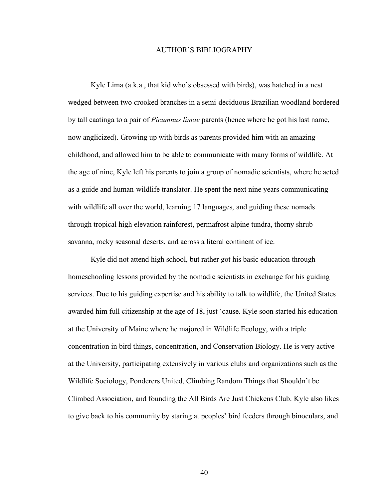#### AUTHOR'S BIBLIOGRAPHY

Kyle Lima (a.k.a., that kid who's obsessed with birds), was hatched in a nest wedged between two crooked branches in a semi-deciduous Brazilian woodland bordered by tall caatinga to a pair of *Picumnus limae* parents (hence where he got his last name, now anglicized). Growing up with birds as parents provided him with an amazing childhood, and allowed him to be able to communicate with many forms of wildlife. At the age of nine, Kyle left his parents to join a group of nomadic scientists, where he acted as a guide and human-wildlife translator. He spent the next nine years communicating with wildlife all over the world, learning 17 languages, and guiding these nomads through tropical high elevation rainforest, permafrost alpine tundra, thorny shrub savanna, rocky seasonal deserts, and across a literal continent of ice.

Kyle did not attend high school, but rather got his basic education through homeschooling lessons provided by the nomadic scientists in exchange for his guiding services. Due to his guiding expertise and his ability to talk to wildlife, the United States awarded him full citizenship at the age of 18, just 'cause. Kyle soon started his education at the University of Maine where he majored in Wildlife Ecology, with a triple concentration in bird things, concentration, and Conservation Biology. He is very active at the University, participating extensively in various clubs and organizations such as the Wildlife Sociology, Ponderers United, Climbing Random Things that Shouldn't be Climbed Association, and founding the All Birds Are Just Chickens Club. Kyle also likes to give back to his community by staring at peoples' bird feeders through binoculars, and